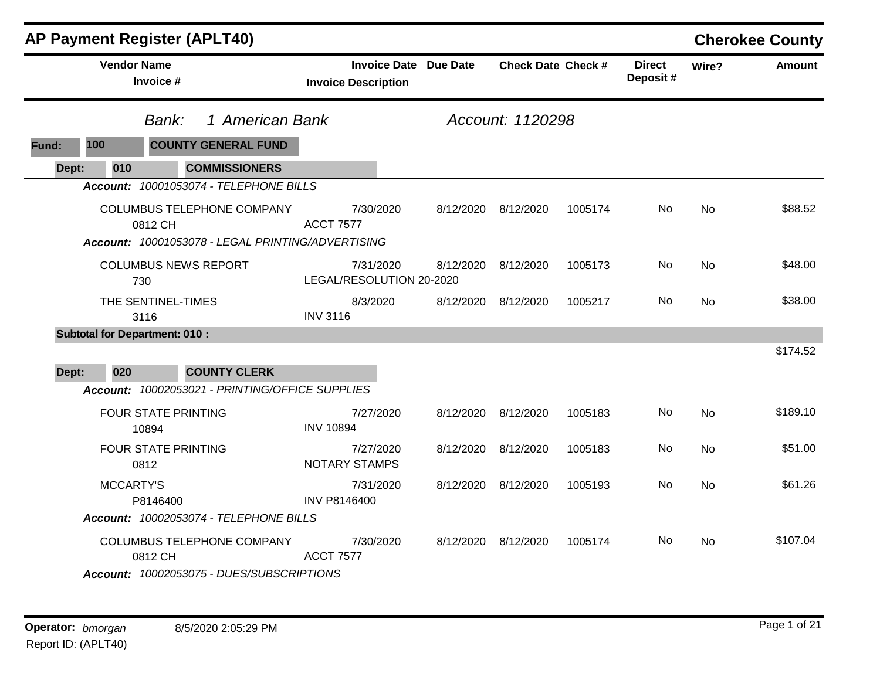| <b>AP Payment Register (APLT40)</b>                                                               |                                                            |           |                           |         |                            |           | <b>Cherokee County</b> |
|---------------------------------------------------------------------------------------------------|------------------------------------------------------------|-----------|---------------------------|---------|----------------------------|-----------|------------------------|
| <b>Vendor Name</b><br>Invoice #                                                                   | <b>Invoice Date Due Date</b><br><b>Invoice Description</b> |           | <b>Check Date Check #</b> |         | <b>Direct</b><br>Deposit # | Wire?     | <b>Amount</b>          |
| 1 American Bank<br>Bank:                                                                          |                                                            |           |                           |         |                            |           |                        |
| 100<br><b>COUNTY GENERAL FUND</b><br>Fund:                                                        |                                                            |           |                           |         |                            |           |                        |
| <b>COMMISSIONERS</b><br>Dept:<br>010                                                              |                                                            |           |                           |         |                            |           |                        |
| Account: 10001053074 - TELEPHONE BILLS                                                            |                                                            |           |                           |         |                            |           |                        |
| <b>COLUMBUS TELEPHONE COMPANY</b><br>0812 CH<br>Account: 10001053078 - LEGAL PRINTING/ADVERTISING | 7/30/2020<br><b>ACCT 7577</b>                              | 8/12/2020 | 8/12/2020                 | 1005174 | No.                        | <b>No</b> | \$88.52                |
| <b>COLUMBUS NEWS REPORT</b><br>730                                                                | 7/31/2020<br>LEGAL/RESOLUTION 20-2020                      | 8/12/2020 | 8/12/2020                 | 1005173 | No.                        | No        | \$48.00                |
| THE SENTINEL-TIMES<br>3116                                                                        | 8/3/2020<br><b>INV 3116</b>                                | 8/12/2020 | 8/12/2020                 | 1005217 | No                         | No.       | \$38.00                |
| <b>Subtotal for Department: 010:</b>                                                              |                                                            |           |                           |         |                            |           |                        |
| <b>COUNTY CLERK</b><br>Dept:<br>020                                                               |                                                            |           |                           |         |                            |           | \$174.52               |
| Account: 10002053021 - PRINTING/OFFICE SUPPLIES                                                   |                                                            |           |                           |         |                            |           |                        |
| <b>FOUR STATE PRINTING</b><br>10894                                                               | 7/27/2020<br><b>INV 10894</b>                              | 8/12/2020 | 8/12/2020                 | 1005183 | No                         | <b>No</b> | \$189.10               |
| <b>FOUR STATE PRINTING</b><br>0812                                                                | 7/27/2020<br><b>NOTARY STAMPS</b>                          | 8/12/2020 | 8/12/2020                 | 1005183 | No                         | No        | \$51.00                |
| <b>MCCARTY'S</b><br>P8146400                                                                      | 7/31/2020<br><b>INV P8146400</b>                           |           | 8/12/2020 8/12/2020       | 1005193 | No                         | No        | \$61.26                |
| Account: 10002053074 - TELEPHONE BILLS                                                            |                                                            |           |                           |         |                            |           |                        |
| COLUMBUS TELEPHONE COMPANY<br>0812 CH<br>Account: 10002053075 - DUES/SUBSCRIPTIONS                | 7/30/2020<br><b>ACCT 7577</b>                              |           | 8/12/2020 8/12/2020       | 1005174 | No.                        | No        | \$107.04               |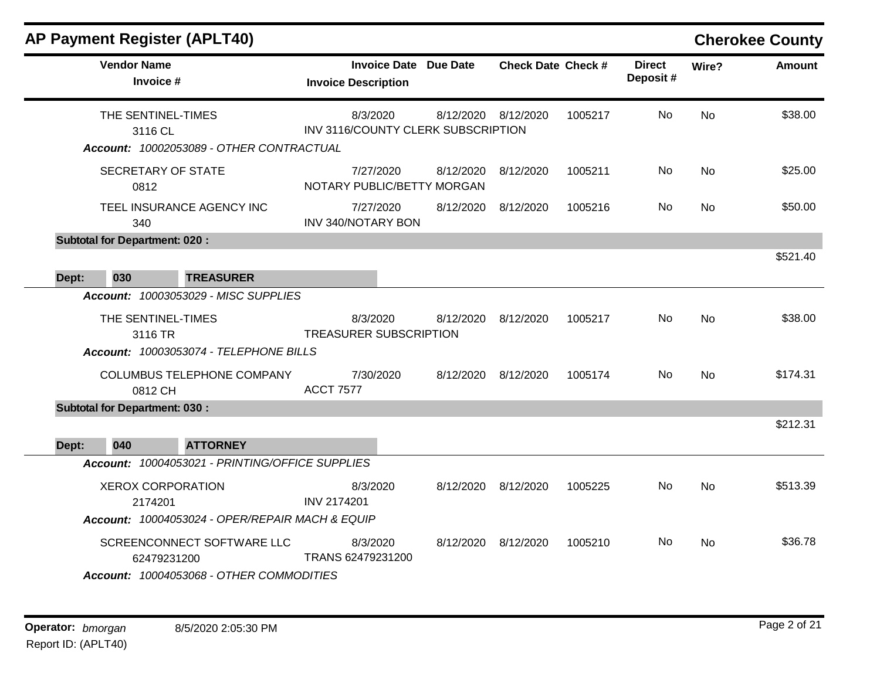|       |                                                                                        | <b>AP Payment Register (APLT40)</b>             |                                                |                              |                           |         |                           |           | <b>Cherokee County</b> |
|-------|----------------------------------------------------------------------------------------|-------------------------------------------------|------------------------------------------------|------------------------------|---------------------------|---------|---------------------------|-----------|------------------------|
|       | <b>Vendor Name</b><br>Invoice #                                                        |                                                 | <b>Invoice Description</b>                     | <b>Invoice Date Due Date</b> | <b>Check Date Check #</b> |         | <b>Direct</b><br>Deposit# | Wire?     | <b>Amount</b>          |
|       | THE SENTINEL-TIMES<br>3116 CL                                                          | Account: 10002053089 - OTHER CONTRACTUAL        | 8/3/2020<br>INV 3116/COUNTY CLERK SUBSCRIPTION | 8/12/2020                    | 8/12/2020                 | 1005217 | <b>No</b>                 | No        | \$38.00                |
|       | <b>SECRETARY OF STATE</b><br>0812                                                      |                                                 | 7/27/2020<br>NOTARY PUBLIC/BETTY MORGAN        | 8/12/2020                    | 8/12/2020                 | 1005211 | No                        | No        | \$25.00                |
|       | 340                                                                                    | TEEL INSURANCE AGENCY INC                       | 7/27/2020<br>INV 340/NOTARY BON                | 8/12/2020                    | 8/12/2020                 | 1005216 | No.                       | No        | \$50.00                |
|       | <b>Subtotal for Department: 020:</b>                                                   |                                                 |                                                |                              |                           |         |                           |           | \$521.40               |
| Dept: | 030                                                                                    | <b>TREASURER</b>                                |                                                |                              |                           |         |                           |           |                        |
|       |                                                                                        | <b>Account: 10003053029 - MISC SUPPLIES</b>     |                                                |                              |                           |         |                           |           |                        |
|       | THE SENTINEL-TIMES<br>3116 TR<br>Account: 10003053074 - TELEPHONE BILLS                |                                                 | 8/3/2020<br><b>TREASURER SUBSCRIPTION</b>      | 8/12/2020                    | 8/12/2020                 | 1005217 | No                        | <b>No</b> | \$38.00                |
|       | 0812 CH                                                                                | COLUMBUS TELEPHONE COMPANY                      | 7/30/2020<br><b>ACCT 7577</b>                  | 8/12/2020                    | 8/12/2020                 | 1005174 | No.                       | No        | \$174.31               |
|       | <b>Subtotal for Department: 030:</b>                                                   |                                                 |                                                |                              |                           |         |                           |           |                        |
| Dept: | 040                                                                                    | <b>ATTORNEY</b>                                 |                                                |                              |                           |         |                           |           | \$212.31               |
|       |                                                                                        | Account: 10004053021 - PRINTING/OFFICE SUPPLIES |                                                |                              |                           |         |                           |           |                        |
|       | <b>XEROX CORPORATION</b><br>2174201<br>Account: 10004053024 - OPER/REPAIR MACH & EQUIP |                                                 | 8/3/2020<br>INV 2174201                        | 8/12/2020                    | 8/12/2020                 | 1005225 | No.                       | <b>No</b> | \$513.39               |
|       | SCREENCONNECT SOFTWARE LLC<br>62479231200<br>Account: 10004053068 - OTHER COMMODITIES  |                                                 | 8/3/2020<br>TRANS 62479231200                  | 8/12/2020                    | 8/12/2020                 | 1005210 | No.                       | No.       | \$36.78                |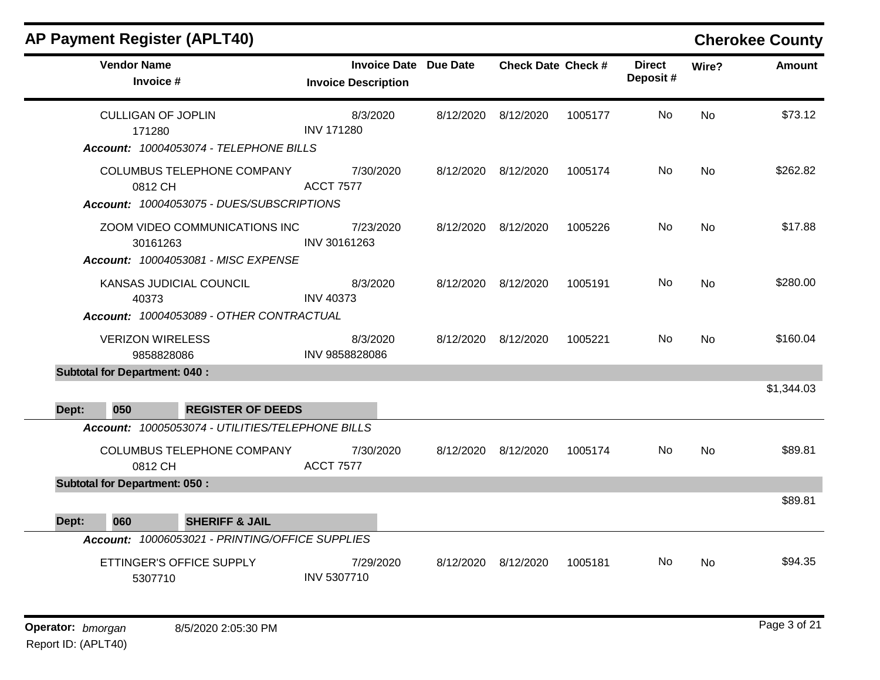| <b>AP Payment Register (APLT40)</b>  |                                                                                                  |                            |           |                              |                           |         |                           |           | <b>Cherokee County</b> |
|--------------------------------------|--------------------------------------------------------------------------------------------------|----------------------------|-----------|------------------------------|---------------------------|---------|---------------------------|-----------|------------------------|
| <b>Vendor Name</b><br>Invoice #      |                                                                                                  | <b>Invoice Description</b> |           | <b>Invoice Date Due Date</b> | <b>Check Date Check #</b> |         | <b>Direct</b><br>Deposit# | Wire?     | <b>Amount</b>          |
| <b>CULLIGAN OF JOPLIN</b><br>171280  | Account: 10004053074 - TELEPHONE BILLS                                                           | <b>INV 171280</b>          | 8/3/2020  |                              | 8/12/2020 8/12/2020       | 1005177 | No.                       | <b>No</b> | \$73.12                |
| 0812 CH                              | COLUMBUS TELEPHONE COMPANY<br>Account: 10004053075 - DUES/SUBSCRIPTIONS                          | <b>ACCT 7577</b>           | 7/30/2020 |                              | 8/12/2020 8/12/2020       | 1005174 | No.                       | <b>No</b> | \$262.82               |
| 30161263                             | ZOOM VIDEO COMMUNICATIONS INC<br>Account: 10004053081 - MISC EXPENSE                             | INV 30161263               | 7/23/2020 |                              | 8/12/2020 8/12/2020       | 1005226 | No.                       | No.       | \$17.88                |
|                                      | KANSAS JUDICIAL COUNCIL<br><b>INV 40373</b><br>40373<br>Account: 10004053089 - OTHER CONTRACTUAL |                            | 8/3/2020  |                              | 8/12/2020 8/12/2020       | 1005191 | No.                       | <b>No</b> | \$280.00               |
| <b>VERIZON WIRELESS</b>              | 9858828086                                                                                       | INV 9858828086             | 8/3/2020  |                              | 8/12/2020 8/12/2020       | 1005221 | No.                       | No        | \$160.04               |
| <b>Subtotal for Department: 040:</b> |                                                                                                  |                            |           |                              |                           |         |                           |           |                        |
| 050<br>Dept:                         | <b>REGISTER OF DEEDS</b>                                                                         |                            |           |                              |                           |         |                           |           | \$1,344.03             |
| 0812 CH                              | Account: 10005053074 - UTILITIES/TELEPHONE BILLS<br>COLUMBUS TELEPHONE COMPANY                   | <b>ACCT 7577</b>           | 7/30/2020 |                              | 8/12/2020 8/12/2020       | 1005174 | No.                       | No        | \$89.81                |
| <b>Subtotal for Department: 050:</b> |                                                                                                  |                            |           |                              |                           |         |                           |           |                        |
| 060<br>Dept:                         | <b>SHERIFF &amp; JAIL</b>                                                                        |                            |           |                              |                           |         |                           |           | \$89.81                |
|                                      | Account: 10006053021 - PRINTING/OFFICE SUPPLIES                                                  |                            |           |                              |                           |         |                           |           |                        |
| 5307710                              | ETTINGER'S OFFICE SUPPLY                                                                         | INV 5307710                | 7/29/2020 | 8/12/2020                    | 8/12/2020                 | 1005181 | No.                       | <b>No</b> | \$94.35                |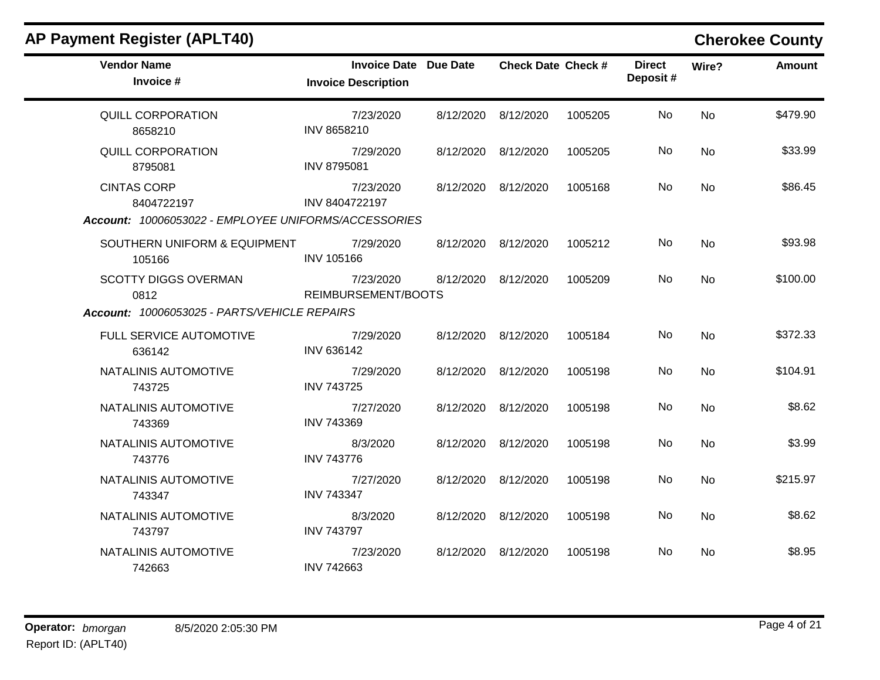## **AP Payment Register (APLT40) Cherokee County Vendor Name Invoice Date Due Date Check Date Invoice # Check Date Check # Invoice Description Direct Wire? Amount Deposit #** QUILL CORPORATION 8658210 7/23/2020 8/12/2020 8/12/2020 1005205 No \$479.90 INV 8658210 No QUILL CORPORATION 8795081 7/29/2020 8/12/2020 8/12/2020 1005205 No \$33.99 INV 8795081 No CINTAS CORP 8404722197 7/23/2020 8/12/2020 8/12/2020 1005168 No \$86.45 INV 8404722197 No *Account: 10006053022 - EMPLOYEE UNIFORMS/ACCESSORIES* SOUTHERN UNIFORM & EQUIPMENT 105166 7/29/2020 8/12/2020 8/12/2020 1005212 No \$93.98 INV 105166 No SCOTTY DIGGS OVERMAN 0812 7/23/2020 8/12/2020 8/12/2020 1005209 No \$100.00 REIMBURSEMENT/BOOTS No *Account: 10006053025 - PARTS/VEHICLE REPAIRS* FULL SERVICE AUTOMOTIVE 636142 7/29/2020 8/12/2020 8/12/2020 1005184 No \$372.33 INV 636142 No NATALINIS AUTOMOTIVE 743725 7/29/2020 8/12/2020 8/12/2020 1005198 No \$104.91 INV 743725 No NATALINIS AUTOMOTIVE 743369 7/27/2020 8/12/2020 8/12/2020 1005198 No \$8.62 INV 743369 No NATALINIS AUTOMOTIVE 743776 8/3/2020 8/12/2020 8/12/2020 1005198 No \$3.99 INV 743776 No NATALINIS AUTOMOTIVE 743347 7/27/2020 8/12/2020 8/12/2020 1005198 No \$215.97 INV 743347 No NATALINIS AUTOMOTIVE 743797 8/3/2020 8/12/2020 8/12/2020 1005198 No \$8.62 INV 743797 No NATALINIS AUTOMOTIVE 742663 7/23/2020 8/12/2020 8/12/2020 1005198 No \$8.95 INV 742663 No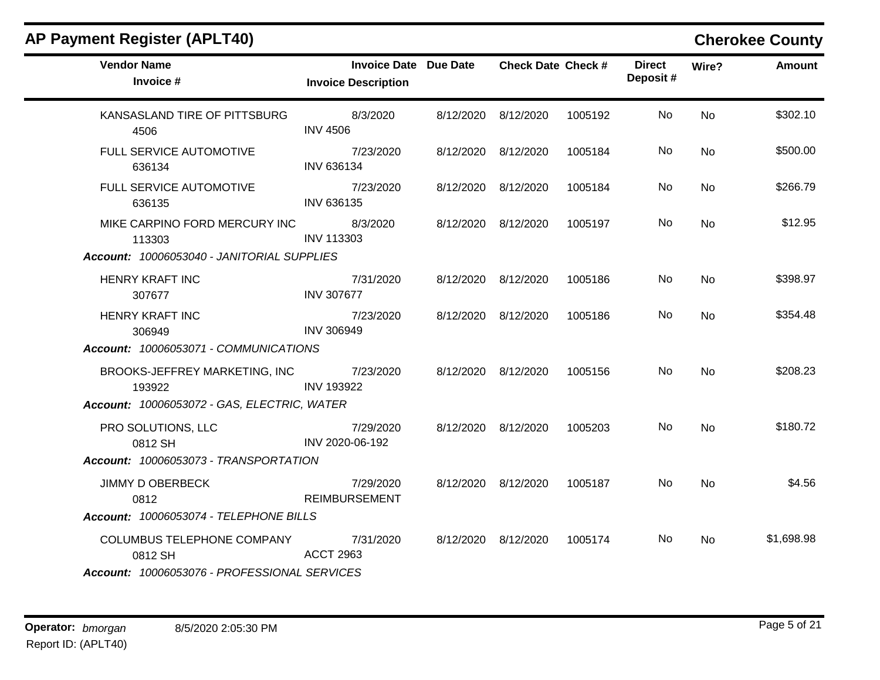| <b>AP Payment Register (APLT40)</b>          |                                                            |                           |         |                           |           | <b>Cherokee County</b> |
|----------------------------------------------|------------------------------------------------------------|---------------------------|---------|---------------------------|-----------|------------------------|
| <b>Vendor Name</b><br>Invoice #              | <b>Invoice Date Due Date</b><br><b>Invoice Description</b> | <b>Check Date Check #</b> |         | <b>Direct</b><br>Deposit# | Wire?     | <b>Amount</b>          |
| KANSASLAND TIRE OF PITTSBURG<br>4506         | 8/3/2020<br><b>INV 4506</b>                                | 8/12/2020 8/12/2020       | 1005192 | No                        | No        | \$302.10               |
| FULL SERVICE AUTOMOTIVE<br>636134            | 7/23/2020<br>INV 636134                                    | 8/12/2020 8/12/2020       | 1005184 | No                        | No        | \$500.00               |
| FULL SERVICE AUTOMOTIVE<br>636135            | 7/23/2020<br>INV 636135                                    | 8/12/2020 8/12/2020       | 1005184 | No.                       | No        | \$266.79               |
| MIKE CARPINO FORD MERCURY INC<br>113303      | 8/3/2020<br><b>INV 113303</b>                              | 8/12/2020 8/12/2020       | 1005197 | No                        | No        | \$12.95                |
| Account: 10006053040 - JANITORIAL SUPPLIES   |                                                            |                           |         |                           |           |                        |
| <b>HENRY KRAFT INC</b><br>307677             | 7/31/2020<br><b>INV 307677</b>                             | 8/12/2020 8/12/2020       | 1005186 | No.                       | No        | \$398.97               |
| HENRY KRAFT INC<br>306949                    | 7/23/2020<br><b>INV 306949</b>                             | 8/12/2020 8/12/2020       | 1005186 | No.                       | No.       | \$354.48               |
| Account: 10006053071 - COMMUNICATIONS        |                                                            |                           |         |                           |           |                        |
| BROOKS-JEFFREY MARKETING, INC<br>193922      | 7/23/2020<br><b>INV 193922</b>                             | 8/12/2020 8/12/2020       | 1005156 | No.                       | <b>No</b> | \$208.23               |
| Account: 10006053072 - GAS, ELECTRIC, WATER  |                                                            |                           |         |                           |           |                        |
| PRO SOLUTIONS, LLC<br>0812 SH                | 7/29/2020<br>INV 2020-06-192                               | 8/12/2020 8/12/2020       | 1005203 | No                        | No        | \$180.72               |
| Account: 10006053073 - TRANSPORTATION        |                                                            |                           |         |                           |           |                        |
| <b>JIMMY D OBERBECK</b><br>0812              | 7/29/2020<br><b>REIMBURSEMENT</b>                          | 8/12/2020 8/12/2020       | 1005187 | No.                       | No        | \$4.56                 |
| Account: 10006053074 - TELEPHONE BILLS       |                                                            |                           |         |                           |           |                        |
| COLUMBUS TELEPHONE COMPANY<br>0812 SH        | 7/31/2020<br><b>ACCT 2963</b>                              | 8/12/2020 8/12/2020       | 1005174 | No.                       | No.       | \$1,698.98             |
| Account: 10006053076 - PROFESSIONAL SERVICES |                                                            |                           |         |                           |           |                        |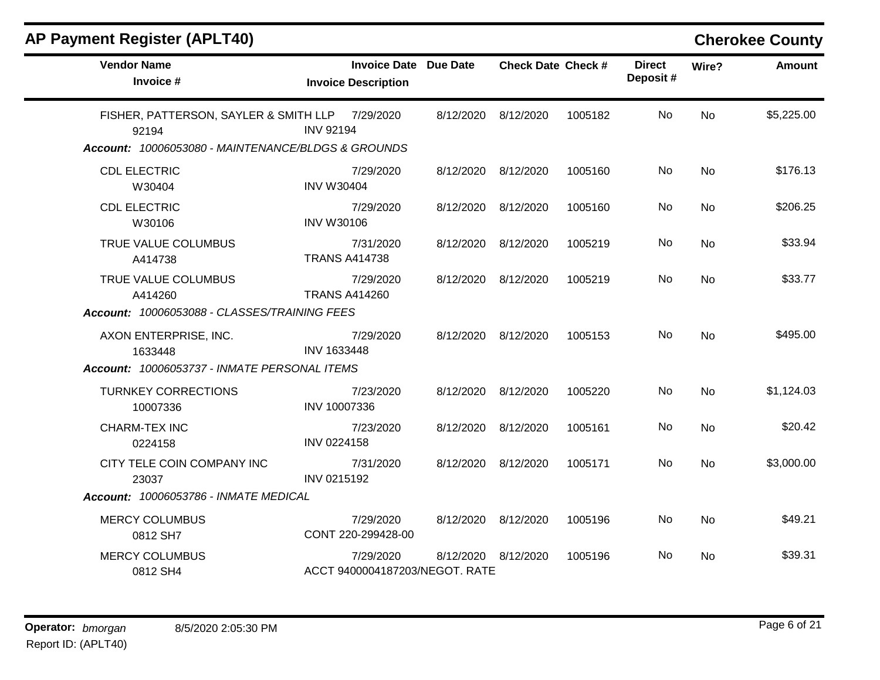| <b>AP Payment Register (APLT40)</b> |  |  |
|-------------------------------------|--|--|
|-------------------------------------|--|--|

# **Cherokee County**

| <b>Vendor Name</b><br>Invoice #                                                                                | <b>Invoice Date Due Date</b><br><b>Invoice Description</b> |           | <b>Check Date Check #</b> |         | <b>Direct</b><br>Deposit# | Wire?     | <b>Amount</b> |
|----------------------------------------------------------------------------------------------------------------|------------------------------------------------------------|-----------|---------------------------|---------|---------------------------|-----------|---------------|
| FISHER, PATTERSON, SAYLER & SMITH LLP 7/29/2020<br>92194<br>Account: 10006053080 - MAINTENANCE/BLDGS & GROUNDS | <b>INV 92194</b>                                           | 8/12/2020 | 8/12/2020                 | 1005182 | No                        | <b>No</b> | \$5,225.00    |
| <b>CDL ELECTRIC</b><br>W30404                                                                                  | 7/29/2020<br><b>INV W30404</b>                             |           | 8/12/2020 8/12/2020       | 1005160 | No                        | <b>No</b> | \$176.13      |
| <b>CDL ELECTRIC</b><br>W30106                                                                                  | 7/29/2020<br><b>INV W30106</b>                             |           | 8/12/2020 8/12/2020       | 1005160 | No                        | No.       | \$206.25      |
| TRUE VALUE COLUMBUS<br>A414738                                                                                 | 7/31/2020<br><b>TRANS A414738</b>                          | 8/12/2020 | 8/12/2020                 | 1005219 | No.                       | <b>No</b> | \$33.94       |
| TRUE VALUE COLUMBUS<br>A414260<br>Account: 10006053088 - CLASSES/TRAINING FEES                                 | 7/29/2020<br><b>TRANS A414260</b>                          | 8/12/2020 | 8/12/2020                 | 1005219 | No.                       | <b>No</b> | \$33.77       |
| AXON ENTERPRISE, INC.<br>1633448<br>Account: 10006053737 - INMATE PERSONAL ITEMS                               | 7/29/2020<br>INV 1633448                                   |           | 8/12/2020 8/12/2020       | 1005153 | No                        | <b>No</b> | \$495.00      |
| <b>TURNKEY CORRECTIONS</b><br>10007336                                                                         | 7/23/2020<br>INV 10007336                                  |           | 8/12/2020 8/12/2020       | 1005220 | No                        | <b>No</b> | \$1,124.03    |
| <b>CHARM-TEX INC</b><br>0224158                                                                                | 7/23/2020<br><b>INV 0224158</b>                            | 8/12/2020 | 8/12/2020                 | 1005161 | No                        | <b>No</b> | \$20.42       |
| CITY TELE COIN COMPANY INC<br>23037                                                                            | 7/31/2020<br>INV 0215192                                   | 8/12/2020 | 8/12/2020                 | 1005171 | No                        | <b>No</b> | \$3,000.00    |
| Account: 10006053786 - INMATE MEDICAL                                                                          |                                                            |           |                           |         |                           |           |               |
| <b>MERCY COLUMBUS</b><br>0812 SH7                                                                              | 7/29/2020<br>CONT 220-299428-00                            |           | 8/12/2020 8/12/2020       | 1005196 | No                        | <b>No</b> | \$49.21       |
| <b>MERCY COLUMBUS</b><br>0812 SH4                                                                              | 7/29/2020<br>ACCT 9400004187203/NEGOT. RATE                | 8/12/2020 | 8/12/2020                 | 1005196 | No                        | No        | \$39.31       |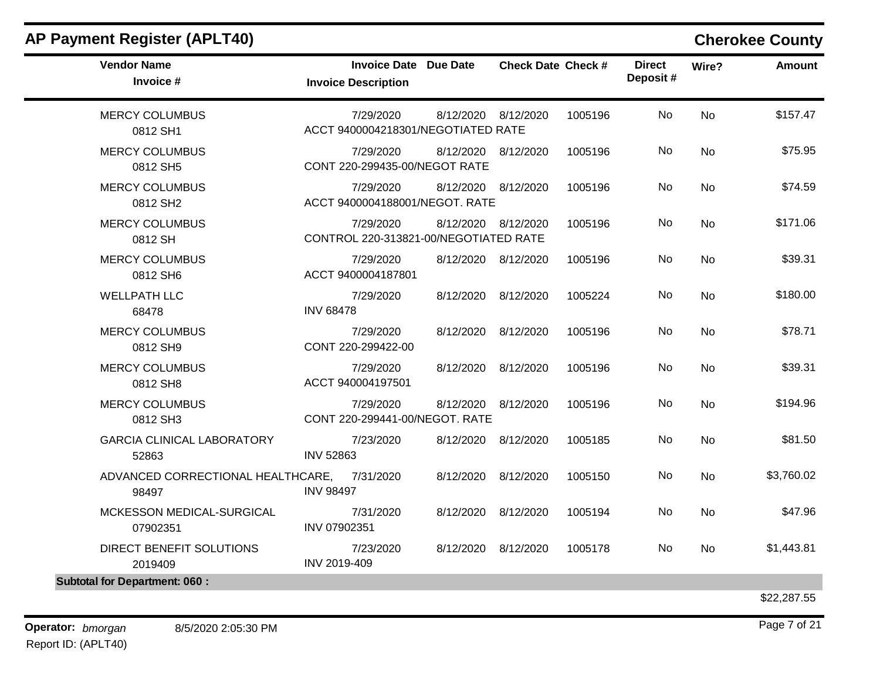| <b>AP Payment Register (APLT40)</b>        |                                                    |                 |                           |         |                           |           | <b>Cherokee County</b> |
|--------------------------------------------|----------------------------------------------------|-----------------|---------------------------|---------|---------------------------|-----------|------------------------|
| <b>Vendor Name</b><br>Invoice #            | <b>Invoice Date</b><br><b>Invoice Description</b>  | <b>Due Date</b> | <b>Check Date Check #</b> |         | <b>Direct</b><br>Deposit# | Wire?     | <b>Amount</b>          |
| <b>MERCY COLUMBUS</b><br>0812 SH1          | 7/29/2020<br>ACCT 9400004218301/NEGOTIATED RATE    | 8/12/2020       | 8/12/2020                 | 1005196 | No                        | No        | \$157.47               |
| <b>MERCY COLUMBUS</b><br>0812 SH5          | 7/29/2020<br>CONT 220-299435-00/NEGOT RATE         | 8/12/2020       | 8/12/2020                 | 1005196 | No                        | No        | \$75.95                |
| <b>MERCY COLUMBUS</b><br>0812 SH2          | 7/29/2020<br>ACCT 9400004188001/NEGOT. RATE        | 8/12/2020       | 8/12/2020                 | 1005196 | No                        | <b>No</b> | \$74.59                |
| <b>MERCY COLUMBUS</b><br>0812 SH           | 7/29/2020<br>CONTROL 220-313821-00/NEGOTIATED RATE | 8/12/2020       | 8/12/2020                 | 1005196 | No                        | No        | \$171.06               |
| <b>MERCY COLUMBUS</b><br>0812 SH6          | 7/29/2020<br>ACCT 9400004187801                    | 8/12/2020       | 8/12/2020                 | 1005196 | No                        | No        | \$39.31                |
| <b>WELLPATH LLC</b><br>68478               | 7/29/2020<br><b>INV 68478</b>                      | 8/12/2020       | 8/12/2020                 | 1005224 | No                        | No        | \$180.00               |
| <b>MERCY COLUMBUS</b><br>0812 SH9          | 7/29/2020<br>CONT 220-299422-00                    | 8/12/2020       | 8/12/2020                 | 1005196 | No                        | No        | \$78.71                |
| <b>MERCY COLUMBUS</b><br>0812 SH8          | 7/29/2020<br>ACCT 940004197501                     | 8/12/2020       | 8/12/2020                 | 1005196 | No                        | No        | \$39.31                |
| <b>MERCY COLUMBUS</b><br>0812 SH3          | 7/29/2020<br>CONT 220-299441-00/NEGOT. RATE        | 8/12/2020       | 8/12/2020                 | 1005196 | No                        | No        | \$194.96               |
| <b>GARCIA CLINICAL LABORATORY</b><br>52863 | 7/23/2020<br><b>INV 52863</b>                      | 8/12/2020       | 8/12/2020                 | 1005185 | No                        | No        | \$81.50                |
| ADVANCED CORRECTIONAL HEALTHCARE,<br>98497 | 7/31/2020<br><b>INV 98497</b>                      | 8/12/2020       | 8/12/2020                 | 1005150 | No                        | No        | \$3,760.02             |
| MCKESSON MEDICAL-SURGICAL<br>07902351      | 7/31/2020<br>INV 07902351                          | 8/12/2020       | 8/12/2020                 | 1005194 | No.                       | No        | \$47.96                |
| DIRECT BENEFIT SOLUTIONS<br>2019409        | 7/23/2020<br>INV 2019-409                          | 8/12/2020       | 8/12/2020                 | 1005178 | No                        | No        | \$1,443.81             |
| <b>Subtotal for Department: 060:</b>       |                                                    |                 |                           |         |                           |           |                        |
|                                            |                                                    |                 |                           |         |                           |           | \$22,287.55            |

**Operator:** bmorgan 8/5/2020 2:05:30 PM Report ID: (APLT40)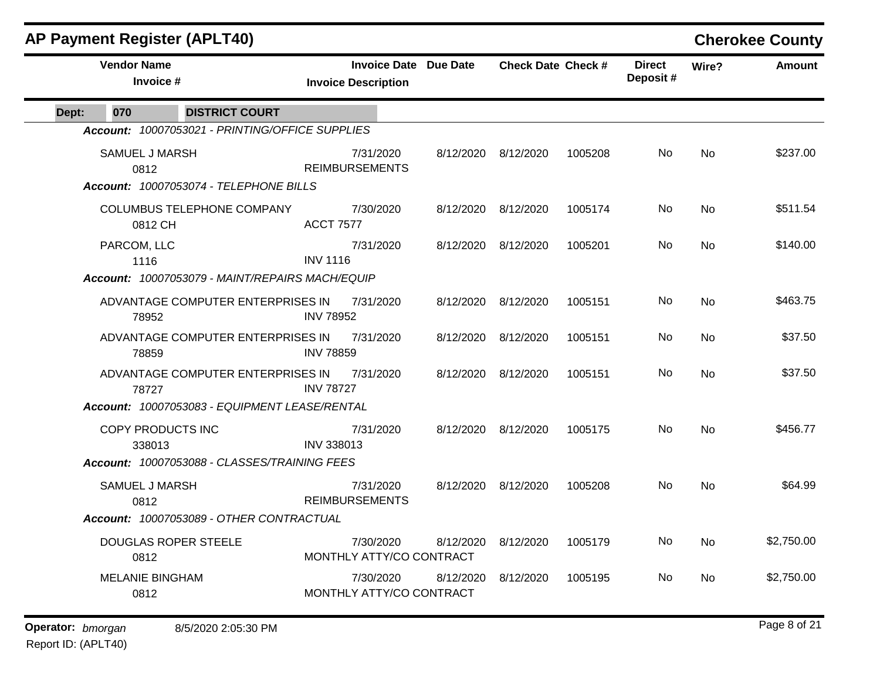|       | <b>AP Payment Register (APLT40)</b> |                                                 |                   |                                                            |           |                           |         |                           |           | <b>Cherokee County</b> |
|-------|-------------------------------------|-------------------------------------------------|-------------------|------------------------------------------------------------|-----------|---------------------------|---------|---------------------------|-----------|------------------------|
|       | <b>Vendor Name</b><br>Invoice #     |                                                 |                   | <b>Invoice Date Due Date</b><br><b>Invoice Description</b> |           | <b>Check Date Check #</b> |         | <b>Direct</b><br>Deposit# | Wire?     | <b>Amount</b>          |
| Dept: | 070                                 | <b>DISTRICT COURT</b>                           |                   |                                                            |           |                           |         |                           |           |                        |
|       |                                     | Account: 10007053021 - PRINTING/OFFICE SUPPLIES |                   |                                                            |           |                           |         |                           |           |                        |
|       | <b>SAMUEL J MARSH</b><br>0812       |                                                 |                   | 7/31/2020<br><b>REIMBURSEMENTS</b>                         |           | 8/12/2020 8/12/2020       | 1005208 | No.                       | <b>No</b> | \$237.00               |
|       |                                     | Account: 10007053074 - TELEPHONE BILLS          |                   |                                                            |           |                           |         |                           |           |                        |
|       | 0812 CH                             | COLUMBUS TELEPHONE COMPANY                      | <b>ACCT 7577</b>  | 7/30/2020                                                  |           | 8/12/2020 8/12/2020       | 1005174 | No.                       | No        | \$511.54               |
|       | PARCOM, LLC<br>1116                 |                                                 | <b>INV 1116</b>   | 7/31/2020                                                  | 8/12/2020 | 8/12/2020                 | 1005201 | No.                       | <b>No</b> | \$140.00               |
|       |                                     | Account: 10007053079 - MAINT/REPAIRS MACH/EQUIP |                   |                                                            |           |                           |         |                           |           |                        |
|       | 78952                               | ADVANTAGE COMPUTER ENTERPRISES IN               | <b>INV 78952</b>  | 7/31/2020                                                  | 8/12/2020 | 8/12/2020                 | 1005151 | No                        | <b>No</b> | \$463.75               |
|       | 78859                               | ADVANTAGE COMPUTER ENTERPRISES IN               | <b>INV 78859</b>  | 7/31/2020                                                  | 8/12/2020 | 8/12/2020                 | 1005151 | No.                       | No        | \$37.50                |
|       | 78727                               | ADVANTAGE COMPUTER ENTERPRISES IN               | <b>INV 78727</b>  | 7/31/2020                                                  | 8/12/2020 | 8/12/2020                 | 1005151 | No                        | No        | \$37.50                |
|       |                                     | Account: 10007053083 - EQUIPMENT LEASE/RENTAL   |                   |                                                            |           |                           |         |                           |           |                        |
|       | COPY PRODUCTS INC<br>338013         |                                                 | <b>INV 338013</b> | 7/31/2020                                                  |           | 8/12/2020 8/12/2020       | 1005175 | No                        | No        | \$456.77               |
|       |                                     | Account: 10007053088 - CLASSES/TRAINING FEES    |                   |                                                            |           |                           |         |                           |           |                        |
|       | <b>SAMUEL J MARSH</b><br>0812       |                                                 |                   | 7/31/2020<br><b>REIMBURSEMENTS</b>                         | 8/12/2020 | 8/12/2020                 | 1005208 | No.                       | No        | \$64.99                |
|       |                                     | Account: 10007053089 - OTHER CONTRACTUAL        |                   |                                                            |           |                           |         |                           |           |                        |
|       | 0812                                | <b>DOUGLAS ROPER STEELE</b>                     |                   | 7/30/2020<br>MONTHLY ATTY/CO CONTRACT                      | 8/12/2020 | 8/12/2020                 | 1005179 | No                        | No        | \$2,750.00             |
|       | <b>MELANIE BINGHAM</b><br>0812      |                                                 |                   | 7/30/2020<br>MONTHLY ATTY/CO CONTRACT                      | 8/12/2020 | 8/12/2020                 | 1005195 | No.                       | No        | \$2,750.00             |
|       |                                     |                                                 |                   |                                                            |           |                           |         |                           |           |                        |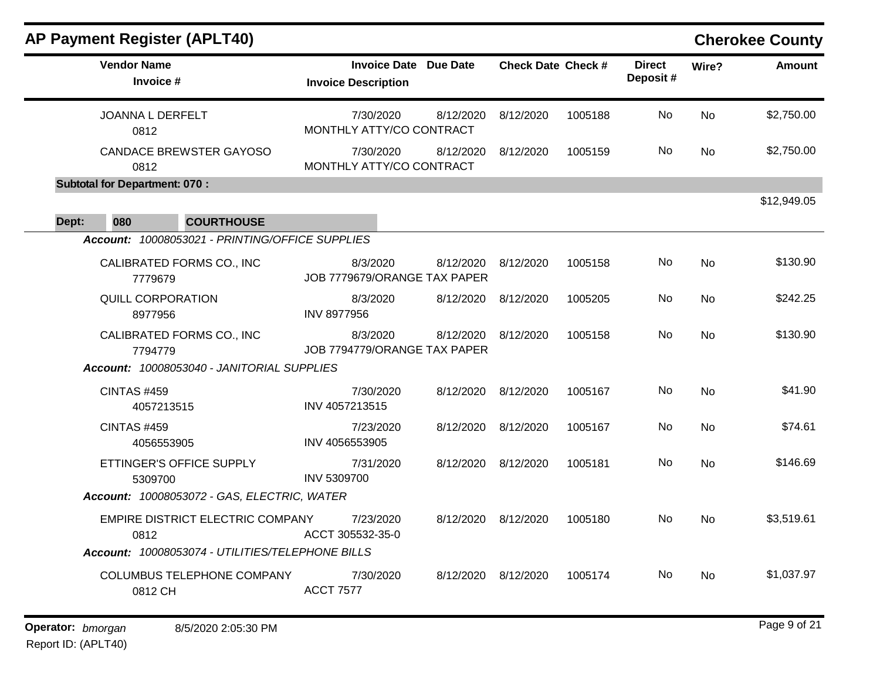| <b>AP Payment Register (APLT40)</b>              |                                                            |           |                           |         |                           |           | <b>Cherokee County</b> |
|--------------------------------------------------|------------------------------------------------------------|-----------|---------------------------|---------|---------------------------|-----------|------------------------|
| <b>Vendor Name</b><br>Invoice #                  | <b>Invoice Date Due Date</b><br><b>Invoice Description</b> |           | <b>Check Date Check #</b> |         | <b>Direct</b><br>Deposit# | Wire?     | <b>Amount</b>          |
| JOANNA L DERFELT<br>0812                         | 7/30/2020<br>8/12/2020<br>MONTHLY ATTY/CO CONTRACT         |           | 8/12/2020                 | 1005188 | No                        | <b>No</b> | \$2,750.00             |
| <b>CANDACE BREWSTER GAYOSO</b><br>0812           | 7/30/2020<br>MONTHLY ATTY/CO CONTRACT                      | 8/12/2020 | 8/12/2020                 | 1005159 | No                        | <b>No</b> | \$2,750.00             |
| <b>Subtotal for Department: 070:</b>             |                                                            |           |                           |         |                           |           |                        |
| 080<br><b>COURTHOUSE</b><br>Dept:                |                                                            |           |                           |         |                           |           | \$12,949.05            |
| Account: 10008053021 - PRINTING/OFFICE SUPPLIES  |                                                            |           |                           |         |                           |           |                        |
| CALIBRATED FORMS CO., INC<br>7779679             | 8/3/2020<br>JOB 7779679/ORANGE TAX PAPER                   | 8/12/2020 | 8/12/2020                 | 1005158 | No                        | No        | \$130.90               |
| <b>QUILL CORPORATION</b><br>8977956              | 8/3/2020<br><b>INV 8977956</b>                             | 8/12/2020 | 8/12/2020                 | 1005205 | No                        | <b>No</b> | \$242.25               |
| CALIBRATED FORMS CO., INC<br>7794779             | 8/3/2020<br>JOB 7794779/ORANGE TAX PAPER                   | 8/12/2020 | 8/12/2020                 | 1005158 | No                        | <b>No</b> | \$130.90               |
| Account: 10008053040 - JANITORIAL SUPPLIES       |                                                            |           |                           |         |                           |           |                        |
| <b>CINTAS #459</b><br>4057213515                 | 7/30/2020<br>INV 4057213515                                | 8/12/2020 | 8/12/2020                 | 1005167 | No                        | <b>No</b> | \$41.90                |
| <b>CINTAS #459</b><br>4056553905                 | 7/23/2020<br>INV 4056553905                                | 8/12/2020 | 8/12/2020                 | 1005167 | No                        | <b>No</b> | \$74.61                |
| ETTINGER'S OFFICE SUPPLY<br>5309700              | 7/31/2020<br>INV 5309700                                   | 8/12/2020 | 8/12/2020                 | 1005181 | No                        | <b>No</b> | \$146.69               |
| Account: 10008053072 - GAS, ELECTRIC, WATER      |                                                            |           |                           |         |                           |           |                        |
| EMPIRE DISTRICT ELECTRIC COMPANY<br>0812         | 7/23/2020<br>ACCT 305532-35-0                              | 8/12/2020 | 8/12/2020                 | 1005180 | No                        | <b>No</b> | \$3,519.61             |
| Account: 10008053074 - UTILITIES/TELEPHONE BILLS |                                                            |           |                           |         |                           |           |                        |
| COLUMBUS TELEPHONE COMPANY<br>0812 CH            | 7/30/2020<br><b>ACCT 7577</b>                              | 8/12/2020 | 8/12/2020                 | 1005174 | No                        | No        | \$1,037.97             |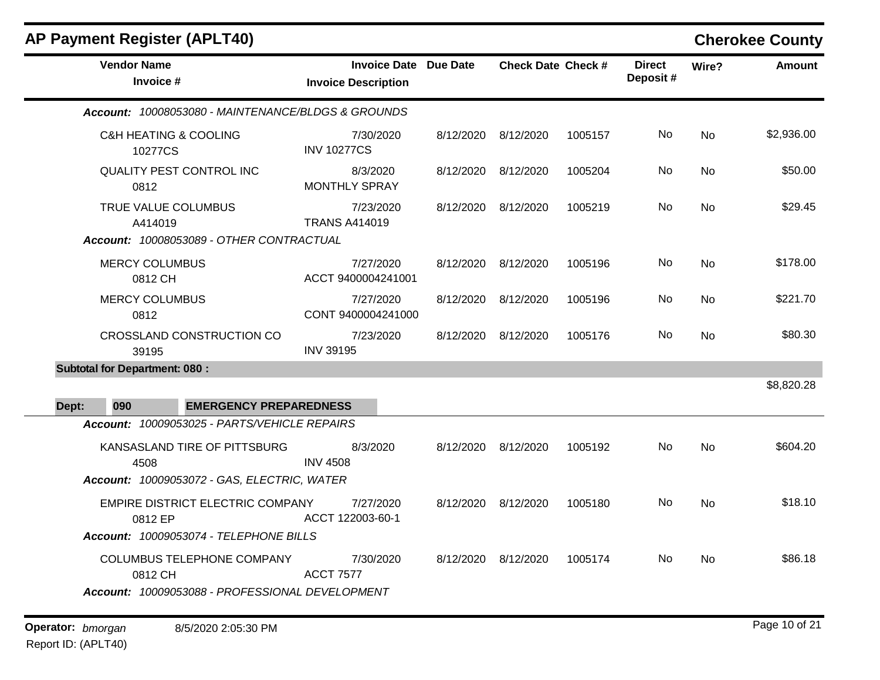| <b>AP Payment Register (APLT40)</b>                                                                                                  |                                                     |           |                           |         |                           |           | <b>Cherokee County</b> |
|--------------------------------------------------------------------------------------------------------------------------------------|-----------------------------------------------------|-----------|---------------------------|---------|---------------------------|-----------|------------------------|
| <b>Vendor Name</b><br>Invoice #                                                                                                      | Invoice Date Due Date<br><b>Invoice Description</b> |           | <b>Check Date Check #</b> |         | <b>Direct</b><br>Deposit# | Wire?     | <b>Amount</b>          |
| Account: 10008053080 - MAINTENANCE/BLDGS & GROUNDS                                                                                   |                                                     |           |                           |         |                           |           |                        |
| <b>C&amp;H HEATING &amp; COOLING</b><br>10277CS                                                                                      | 7/30/2020<br><b>INV 10277CS</b>                     |           | 8/12/2020 8/12/2020       | 1005157 | No                        | No        | \$2,936.00             |
| <b>QUALITY PEST CONTROL INC</b><br>0812                                                                                              | 8/3/2020<br><b>MONTHLY SPRAY</b>                    |           | 8/12/2020 8/12/2020       | 1005204 | No                        | No        | \$50.00                |
| TRUE VALUE COLUMBUS<br>A414019<br>Account: 10008053089 - OTHER CONTRACTUAL                                                           | 7/23/2020<br><b>TRANS A414019</b>                   |           | 8/12/2020 8/12/2020       | 1005219 | No                        | <b>No</b> | \$29.45                |
| <b>MERCY COLUMBUS</b><br>0812 CH                                                                                                     | 7/27/2020<br>ACCT 9400004241001                     |           | 8/12/2020 8/12/2020       | 1005196 | No                        | <b>No</b> | \$178.00               |
| <b>MERCY COLUMBUS</b><br>0812                                                                                                        | 7/27/2020<br>CONT 9400004241000                     | 8/12/2020 | 8/12/2020                 | 1005196 | No.                       | No        | \$221.70               |
| CROSSLAND CONSTRUCTION CO<br>39195                                                                                                   | 7/23/2020<br><b>INV 39195</b>                       |           | 8/12/2020 8/12/2020       | 1005176 | No                        | No.       | \$80.30                |
| <b>Subtotal for Department: 080:</b><br>090<br><b>EMERGENCY PREPAREDNESS</b><br>Dept:                                                |                                                     |           |                           |         |                           |           | \$8,820.28             |
| Account: 10009053025 - PARTS/VEHICLE REPAIRS                                                                                         |                                                     |           |                           |         |                           |           |                        |
| KANSASLAND TIRE OF PITTSBURG<br>4508                                                                                                 | 8/3/2020<br><b>INV 4508</b>                         |           | 8/12/2020 8/12/2020       | 1005192 | No                        | <b>No</b> | \$604.20               |
| Account: 10009053072 - GAS, ELECTRIC, WATER<br>EMPIRE DISTRICT ELECTRIC COMPANY<br>0812 EP<br>Account: 10009053074 - TELEPHONE BILLS | 7/27/2020<br>ACCT 122003-60-1                       |           | 8/12/2020 8/12/2020       | 1005180 | No.                       | <b>No</b> | \$18.10                |
| COLUMBUS TELEPHONE COMPANY<br>0812 CH<br>Account: 10009053088 - PROFESSIONAL DEVELOPMENT                                             | 7/30/2020<br><b>ACCT 7577</b>                       |           | 8/12/2020 8/12/2020       | 1005174 | No.                       | No        | \$86.18                |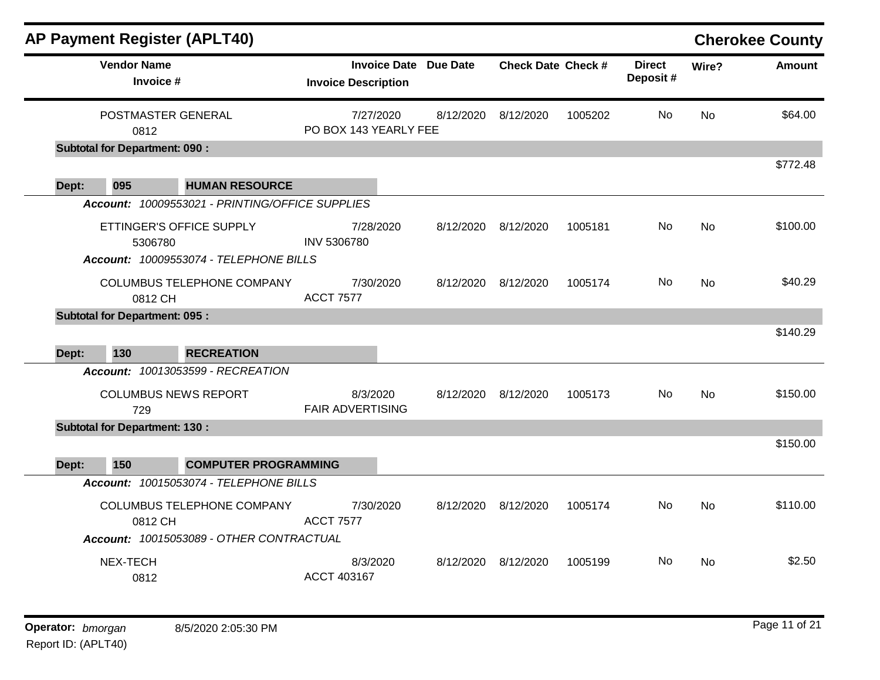|       |                                       | <b>AP Payment Register (APLT40)</b>             |                                     |           |                              |                           |         |                           |           | <b>Cherokee County</b> |
|-------|---------------------------------------|-------------------------------------------------|-------------------------------------|-----------|------------------------------|---------------------------|---------|---------------------------|-----------|------------------------|
|       | <b>Vendor Name</b><br>Invoice #       |                                                 | <b>Invoice Description</b>          |           | <b>Invoice Date Due Date</b> | <b>Check Date Check #</b> |         | <b>Direct</b><br>Deposit# | Wire?     | <b>Amount</b>          |
|       | POSTMASTER GENERAL<br>0812            |                                                 | PO BOX 143 YEARLY FEE               | 7/27/2020 | 8/12/2020                    | 8/12/2020                 | 1005202 | No                        | <b>No</b> | \$64.00                |
|       | <b>Subtotal for Department: 090:</b>  |                                                 |                                     |           |                              |                           |         |                           |           | \$772.48               |
| Dept: | 095                                   | <b>HUMAN RESOURCE</b>                           |                                     |           |                              |                           |         |                           |           |                        |
|       |                                       | Account: 10009553021 - PRINTING/OFFICE SUPPLIES |                                     |           |                              |                           |         |                           |           |                        |
|       | ETTINGER'S OFFICE SUPPLY<br>5306780   |                                                 | INV 5306780                         | 7/28/2020 |                              | 8/12/2020 8/12/2020       | 1005181 | No.                       | <b>No</b> | \$100.00               |
|       |                                       | Account: 10009553074 - TELEPHONE BILLS          |                                     |           |                              |                           |         |                           |           |                        |
|       | 0812 CH                               | COLUMBUS TELEPHONE COMPANY                      | <b>ACCT 7577</b>                    | 7/30/2020 | 8/12/2020                    | 8/12/2020                 | 1005174 | No                        | <b>No</b> | \$40.29                |
|       | <b>Subtotal for Department: 095 :</b> |                                                 |                                     |           |                              |                           |         |                           |           |                        |
| Dept: | 130                                   | <b>RECREATION</b>                               |                                     |           |                              |                           |         |                           |           | \$140.29               |
|       |                                       | Account: 10013053599 - RECREATION               |                                     |           |                              |                           |         |                           |           |                        |
|       | 729                                   | <b>COLUMBUS NEWS REPORT</b>                     | 8/3/2020<br><b>FAIR ADVERTISING</b> |           | 8/12/2020                    | 8/12/2020                 | 1005173 | No.                       | <b>No</b> | \$150.00               |
|       | <b>Subtotal for Department: 130:</b>  |                                                 |                                     |           |                              |                           |         |                           |           |                        |
|       |                                       |                                                 |                                     |           |                              |                           |         |                           |           | \$150.00               |
| Dept: | 150                                   | <b>COMPUTER PROGRAMMING</b>                     |                                     |           |                              |                           |         |                           |           |                        |
|       |                                       | Account: 10015053074 - TELEPHONE BILLS          |                                     |           |                              |                           |         |                           |           |                        |
|       | 0812 CH                               | COLUMBUS TELEPHONE COMPANY                      | <b>ACCT 7577</b>                    | 7/30/2020 | 8/12/2020                    | 8/12/2020                 | 1005174 | No.                       | <b>No</b> | \$110.00               |
|       |                                       | Account: 10015053089 - OTHER CONTRACTUAL        |                                     |           |                              |                           |         |                           |           |                        |
|       | NEX-TECH<br>0812                      |                                                 | 8/3/2020<br>ACCT 403167             |           | 8/12/2020                    | 8/12/2020                 | 1005199 | No                        | No        | \$2.50                 |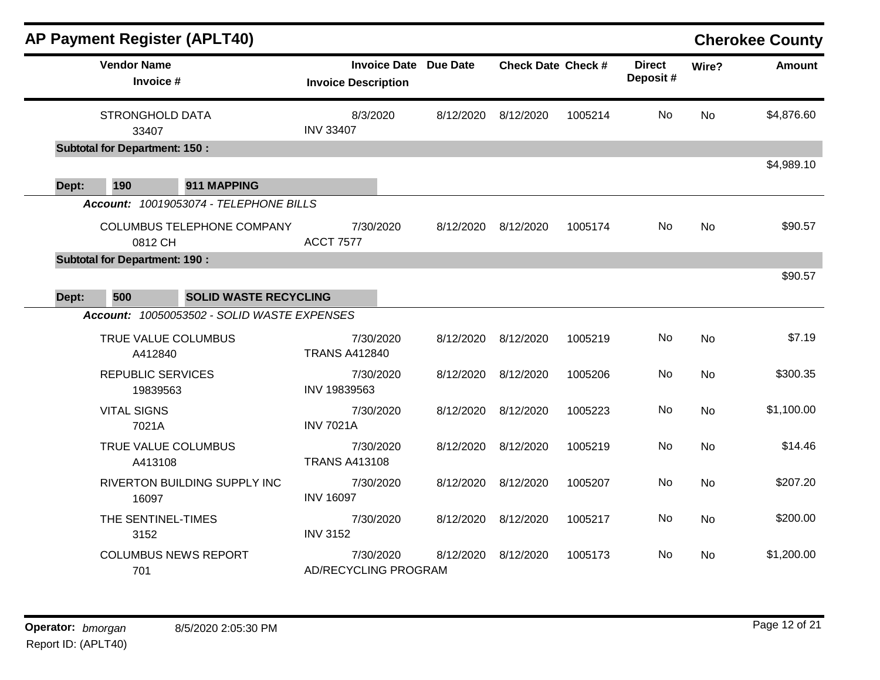|       |                                       | <b>AP Payment Register (APLT40)</b>                                         |                      |                                                            |           |                           |         |                           |           | <b>Cherokee County</b> |
|-------|---------------------------------------|-----------------------------------------------------------------------------|----------------------|------------------------------------------------------------|-----------|---------------------------|---------|---------------------------|-----------|------------------------|
|       | <b>Vendor Name</b><br>Invoice #       |                                                                             |                      | <b>Invoice Date Due Date</b><br><b>Invoice Description</b> |           | <b>Check Date Check #</b> |         | <b>Direct</b><br>Deposit# | Wire?     | <b>Amount</b>          |
|       | <b>STRONGHOLD DATA</b><br>33407       |                                                                             | <b>INV 33407</b>     | 8/3/2020                                                   | 8/12/2020 | 8/12/2020                 | 1005214 | No                        | No        | \$4,876.60             |
|       | <b>Subtotal for Department: 150:</b>  |                                                                             |                      |                                                            |           |                           |         |                           |           | \$4,989.10             |
| Dept: | 190                                   | 911 MAPPING                                                                 |                      |                                                            |           |                           |         |                           |           |                        |
|       |                                       | Account: 10019053074 - TELEPHONE BILLS                                      |                      |                                                            |           |                           |         |                           |           |                        |
|       | 0812 CH                               | COLUMBUS TELEPHONE COMPANY                                                  | <b>ACCT 7577</b>     | 7/30/2020                                                  | 8/12/2020 | 8/12/2020                 | 1005174 | No                        | No        | \$90.57                |
|       | <b>Subtotal for Department: 190 :</b> |                                                                             |                      |                                                            |           |                           |         |                           |           |                        |
|       |                                       |                                                                             |                      |                                                            |           |                           |         |                           |           | \$90.57                |
| Dept: | 500                                   | <b>SOLID WASTE RECYCLING</b><br>Account: 10050053502 - SOLID WASTE EXPENSES |                      |                                                            |           |                           |         |                           |           |                        |
|       | TRUE VALUE COLUMBUS<br>A412840        |                                                                             | <b>TRANS A412840</b> | 7/30/2020                                                  | 8/12/2020 | 8/12/2020                 | 1005219 | No                        | <b>No</b> | \$7.19                 |
|       | <b>REPUBLIC SERVICES</b><br>19839563  |                                                                             | INV 19839563         | 7/30/2020                                                  | 8/12/2020 | 8/12/2020                 | 1005206 | No                        | <b>No</b> | \$300.35               |
|       | <b>VITAL SIGNS</b><br>7021A           |                                                                             | <b>INV 7021A</b>     | 7/30/2020                                                  |           | 8/12/2020 8/12/2020       | 1005223 | No                        | <b>No</b> | \$1,100.00             |
|       | TRUE VALUE COLUMBUS<br>A413108        |                                                                             | <b>TRANS A413108</b> | 7/30/2020                                                  |           | 8/12/2020 8/12/2020       | 1005219 | No                        | No        | \$14.46                |
|       | 16097                                 | RIVERTON BUILDING SUPPLY INC                                                | <b>INV 16097</b>     | 7/30/2020                                                  |           | 8/12/2020 8/12/2020       | 1005207 | No                        | <b>No</b> | \$207.20               |
|       | THE SENTINEL-TIMES<br>3152            |                                                                             | <b>INV 3152</b>      | 7/30/2020                                                  | 8/12/2020 | 8/12/2020                 | 1005217 | No                        | No        | \$200.00               |
|       | 701                                   | <b>COLUMBUS NEWS REPORT</b>                                                 |                      | 7/30/2020<br>AD/RECYCLING PROGRAM                          | 8/12/2020 | 8/12/2020                 | 1005173 | No.                       | No        | \$1,200.00             |
|       |                                       |                                                                             |                      |                                                            |           |                           |         |                           |           |                        |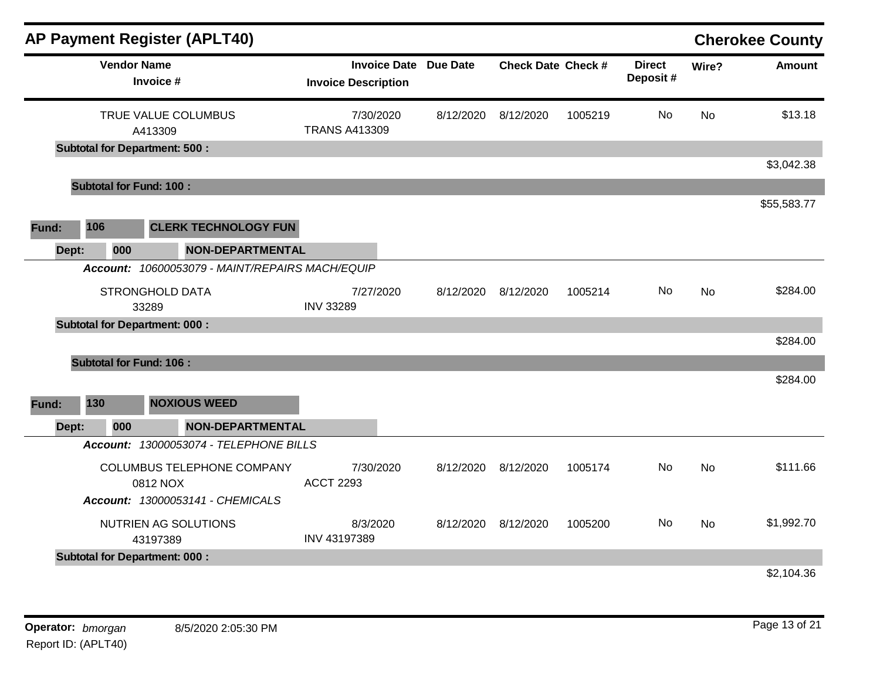|       |                                      | <b>AP Payment Register (APLT40)</b>             |                                                            |           |                           |         |                           |           | <b>Cherokee County</b> |
|-------|--------------------------------------|-------------------------------------------------|------------------------------------------------------------|-----------|---------------------------|---------|---------------------------|-----------|------------------------|
|       | <b>Vendor Name</b><br>Invoice #      |                                                 | <b>Invoice Date Due Date</b><br><b>Invoice Description</b> |           | <b>Check Date Check #</b> |         | <b>Direct</b><br>Deposit# | Wire?     | <b>Amount</b>          |
|       | A413309                              | TRUE VALUE COLUMBUS                             | 7/30/2020<br><b>TRANS A413309</b>                          | 8/12/2020 | 8/12/2020                 | 1005219 | No.                       | <b>No</b> | \$13.18                |
|       | <b>Subtotal for Department: 500:</b> |                                                 |                                                            |           |                           |         |                           |           |                        |
|       |                                      |                                                 |                                                            |           |                           |         |                           |           | \$3,042.38             |
|       | <b>Subtotal for Fund: 100:</b>       |                                                 |                                                            |           |                           |         |                           |           |                        |
|       |                                      |                                                 |                                                            |           |                           |         |                           |           | \$55,583.77            |
| Fund: | 106                                  | <b>CLERK TECHNOLOGY FUN</b>                     |                                                            |           |                           |         |                           |           |                        |
| Dept: | 000                                  | <b>NON-DEPARTMENTAL</b>                         |                                                            |           |                           |         |                           |           |                        |
|       |                                      | Account: 10600053079 - MAINT/REPAIRS MACH/EQUIP |                                                            |           |                           |         |                           |           |                        |
|       | <b>STRONGHOLD DATA</b>               |                                                 | 7/27/2020                                                  | 8/12/2020 | 8/12/2020                 | 1005214 | No                        | <b>No</b> | \$284.00               |
|       | 33289                                |                                                 | <b>INV 33289</b>                                           |           |                           |         |                           |           |                        |
|       | <b>Subtotal for Department: 000:</b> |                                                 |                                                            |           |                           |         |                           |           |                        |
|       |                                      |                                                 |                                                            |           |                           |         |                           |           | \$284.00               |
|       | <b>Subtotal for Fund: 106:</b>       |                                                 |                                                            |           |                           |         |                           |           |                        |
|       |                                      |                                                 |                                                            |           |                           |         |                           |           | \$284.00               |
| Fund: | 130                                  | <b>NOXIOUS WEED</b>                             |                                                            |           |                           |         |                           |           |                        |
| Dept: | 000                                  | <b>NON-DEPARTMENTAL</b>                         |                                                            |           |                           |         |                           |           |                        |
|       |                                      | Account: 13000053074 - TELEPHONE BILLS          |                                                            |           |                           |         |                           |           |                        |
|       | 0812 NOX                             | COLUMBUS TELEPHONE COMPANY                      | 7/30/2020<br><b>ACCT 2293</b>                              | 8/12/2020 | 8/12/2020                 | 1005174 | No.                       | <b>No</b> | \$111.66               |
|       |                                      | Account: 13000053141 - CHEMICALS                |                                                            |           |                           |         |                           |           |                        |
|       | 43197389                             | NUTRIEN AG SOLUTIONS                            | 8/3/2020<br>INV 43197389                                   | 8/12/2020 | 8/12/2020                 | 1005200 | No.                       | <b>No</b> | \$1,992.70             |
|       | <b>Subtotal for Department: 000:</b> |                                                 |                                                            |           |                           |         |                           |           |                        |
|       |                                      |                                                 |                                                            |           |                           |         |                           |           | \$2,104.36             |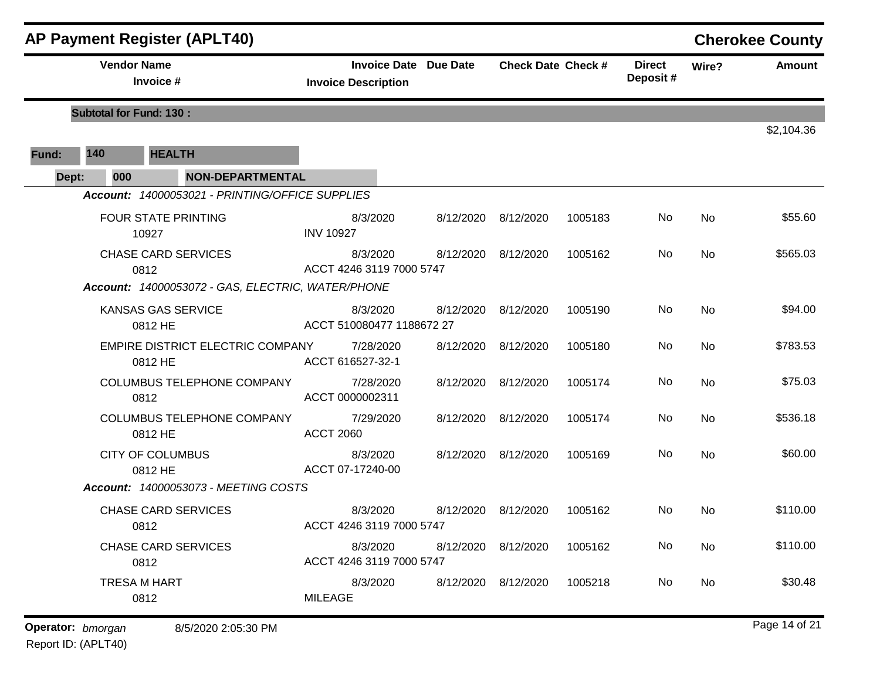|       |                                 | <b>AP Payment Register (APLT40)</b>               |                                                            |                           |         |                           |       | <b>Cherokee County</b> |
|-------|---------------------------------|---------------------------------------------------|------------------------------------------------------------|---------------------------|---------|---------------------------|-------|------------------------|
|       | <b>Vendor Name</b><br>Invoice # |                                                   | <b>Invoice Date Due Date</b><br><b>Invoice Description</b> | <b>Check Date Check #</b> |         | <b>Direct</b><br>Deposit# | Wire? | Amount                 |
|       | <b>Subtotal for Fund: 130:</b>  |                                                   |                                                            |                           |         |                           |       | \$2,104.36             |
| Fund: | 140                             | <b>HEALTH</b>                                     |                                                            |                           |         |                           |       |                        |
| Dept: | 000                             | <b>NON-DEPARTMENTAL</b>                           |                                                            |                           |         |                           |       |                        |
|       |                                 | Account: 14000053021 - PRINTING/OFFICE SUPPLIES   |                                                            |                           |         |                           |       |                        |
|       |                                 | <b>FOUR STATE PRINTING</b><br>10927               | 8/3/2020<br><b>INV 10927</b>                               | 8/12/2020 8/12/2020       | 1005183 | No                        | No    | \$55.60                |
|       |                                 | <b>CHASE CARD SERVICES</b><br>0812                | 8/3/2020<br>ACCT 4246 3119 7000 5747                       | 8/12/2020 8/12/2020       | 1005162 | No                        | No    | \$565.03               |
|       |                                 | Account: 14000053072 - GAS, ELECTRIC, WATER/PHONE |                                                            |                           |         |                           |       |                        |
|       |                                 | KANSAS GAS SERVICE<br>0812 HE                     | 8/3/2020<br>ACCT 510080477 1188672 27                      | 8/12/2020 8/12/2020       | 1005190 | No                        | No    | \$94.00                |
|       |                                 | EMPIRE DISTRICT ELECTRIC COMPANY<br>0812 HE       | 7/28/2020<br>ACCT 616527-32-1                              | 8/12/2020 8/12/2020       | 1005180 | No                        | No    | \$783.53               |
|       |                                 | COLUMBUS TELEPHONE COMPANY<br>0812                | 7/28/2020<br>ACCT 0000002311                               | 8/12/2020 8/12/2020       | 1005174 | No                        | No    | \$75.03                |
|       |                                 | COLUMBUS TELEPHONE COMPANY<br>0812 HE             | 7/29/2020<br><b>ACCT 2060</b>                              | 8/12/2020 8/12/2020       | 1005174 | No                        | No    | \$536.18               |
|       |                                 | <b>CITY OF COLUMBUS</b><br>0812 HE                | 8/3/2020<br>ACCT 07-17240-00                               | 8/12/2020 8/12/2020       | 1005169 | No                        | No    | \$60.00                |
|       |                                 | <b>Account: 14000053073 - MEETING COSTS</b>       |                                                            |                           |         |                           |       |                        |
|       |                                 | <b>CHASE CARD SERVICES</b><br>0812                | 8/3/2020<br>ACCT 4246 3119 7000 5747                       | 8/12/2020 8/12/2020       | 1005162 | No.                       | No    | \$110.00               |
|       |                                 | <b>CHASE CARD SERVICES</b><br>0812                | 8/3/2020<br>ACCT 4246 3119 7000 5747                       | 8/12/2020 8/12/2020       | 1005162 | No                        | No    | \$110.00               |
|       |                                 | <b>TRESA M HART</b><br>0812                       | 8/3/2020<br><b>MILEAGE</b>                                 | 8/12/2020 8/12/2020       | 1005218 | No                        | No    | \$30.48                |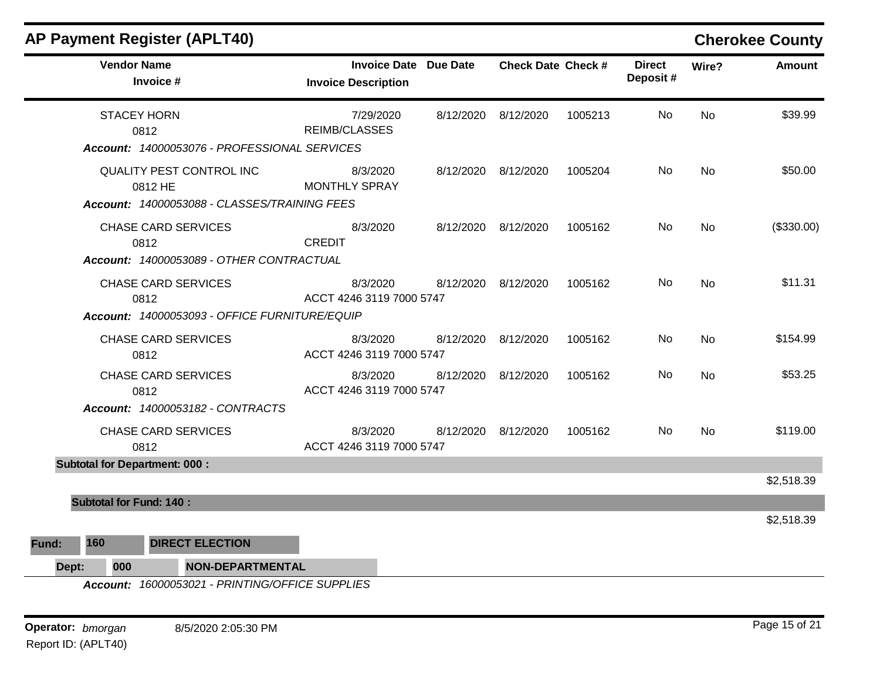| <b>AP Payment Register (APLT40)</b>             |                                                            |                           |         |                           |                | <b>Cherokee County</b> |
|-------------------------------------------------|------------------------------------------------------------|---------------------------|---------|---------------------------|----------------|------------------------|
| <b>Vendor Name</b><br>Invoice #                 | <b>Invoice Date Due Date</b><br><b>Invoice Description</b> | <b>Check Date Check #</b> |         | <b>Direct</b><br>Deposit# | Wire?          | <b>Amount</b>          |
| <b>STACEY HORN</b><br>0812                      | 7/29/2020<br><b>REIMB/CLASSES</b>                          | 8/12/2020 8/12/2020       | 1005213 | No.                       | N <sub>o</sub> | \$39.99                |
| Account: 14000053076 - PROFESSIONAL SERVICES    |                                                            |                           |         |                           |                |                        |
| QUALITY PEST CONTROL INC<br>0812 HE             | 8/3/2020<br><b>MONTHLY SPRAY</b>                           | 8/12/2020 8/12/2020       | 1005204 | No.                       | No             | \$50.00                |
| Account: 14000053088 - CLASSES/TRAINING FEES    |                                                            |                           |         |                           |                |                        |
| <b>CHASE CARD SERVICES</b><br>0812              | 8/3/2020<br><b>CREDIT</b>                                  | 8/12/2020 8/12/2020       | 1005162 | No.                       | <b>No</b>      | (\$330.00)             |
| Account: 14000053089 - OTHER CONTRACTUAL        |                                                            |                           |         |                           |                |                        |
| <b>CHASE CARD SERVICES</b><br>0812              | 8/3/2020<br>ACCT 4246 3119 7000 5747                       | 8/12/2020 8/12/2020       | 1005162 | No.                       | N <sub>o</sub> | \$11.31                |
| Account: 14000053093 - OFFICE FURNITURE/EQUIP   |                                                            |                           |         |                           |                |                        |
| <b>CHASE CARD SERVICES</b><br>0812              | 8/3/2020<br>ACCT 4246 3119 7000 5747                       | 8/12/2020 8/12/2020       | 1005162 | No.                       | <b>No</b>      | \$154.99               |
| <b>CHASE CARD SERVICES</b><br>0812              | 8/3/2020<br>ACCT 4246 3119 7000 5747                       | 8/12/2020 8/12/2020       | 1005162 | No.                       | No             | \$53.25                |
| Account: 14000053182 - CONTRACTS                |                                                            |                           |         |                           |                |                        |
| <b>CHASE CARD SERVICES</b><br>0812              | 8/3/2020<br>ACCT 4246 3119 7000 5747                       | 8/12/2020 8/12/2020       | 1005162 | No.                       | No             | \$119.00               |
| <b>Subtotal for Department: 000:</b>            |                                                            |                           |         |                           |                |                        |
|                                                 |                                                            |                           |         |                           |                | \$2,518.39             |
| <b>Subtotal for Fund: 140:</b>                  |                                                            |                           |         |                           |                |                        |
|                                                 |                                                            |                           |         |                           |                | \$2,518.39             |
| 160<br><b>DIRECT ELECTION</b><br>Fund:          |                                                            |                           |         |                           |                |                        |
| 000<br><b>NON-DEPARTMENTAL</b><br>Dept:         |                                                            |                           |         |                           |                |                        |
| Account: 16000053021 - PRINTING/OFFICE SUPPLIES |                                                            |                           |         |                           |                |                        |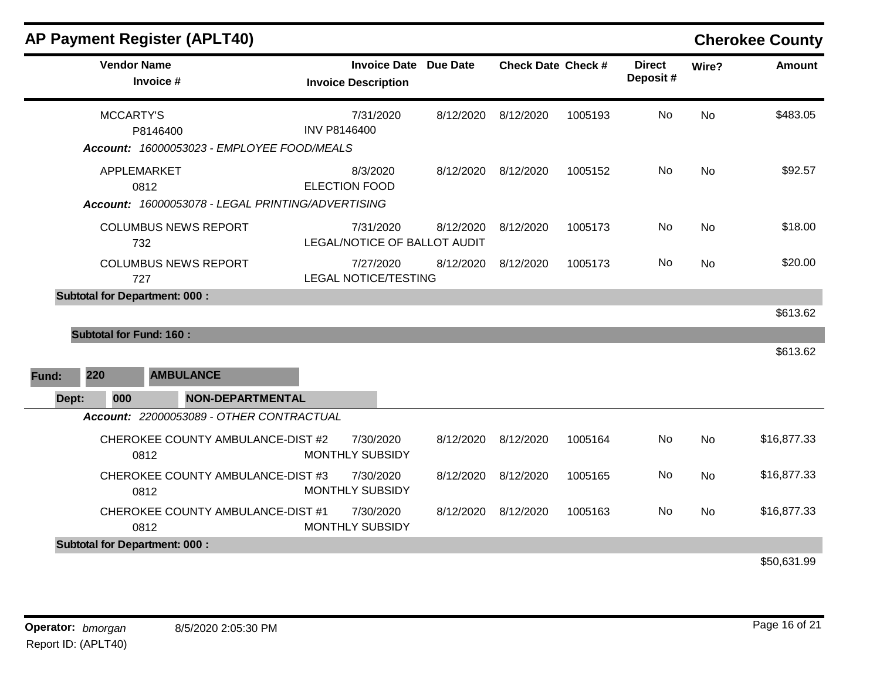| <b>AP Payment Register (APLT40)</b>                                                 |                                                            |           |                           |         |                           |           | <b>Cherokee County</b>                      |
|-------------------------------------------------------------------------------------|------------------------------------------------------------|-----------|---------------------------|---------|---------------------------|-----------|---------------------------------------------|
| <b>Vendor Name</b><br>Invoice #                                                     | <b>Invoice Date Due Date</b><br><b>Invoice Description</b> |           | <b>Check Date Check #</b> |         | <b>Direct</b><br>Deposit# | Wire?     | <b>Amount</b>                               |
| MCCARTY'S<br>P8146400<br>Account: 16000053023 - EMPLOYEE FOOD/MEALS                 | 7/31/2020<br><b>INV P8146400</b>                           | 8/12/2020 | 8/12/2020                 | 1005193 | No                        | <b>No</b> | \$483.05                                    |
| APPLEMARKET<br>0812<br>Account: 16000053078 - LEGAL PRINTING/ADVERTISING            | 8/3/2020<br><b>ELECTION FOOD</b>                           |           | 8/12/2020 8/12/2020       | 1005152 | No                        | No        | \$92.57                                     |
| <b>COLUMBUS NEWS REPORT</b><br>732                                                  | 7/31/2020<br>LEGAL/NOTICE OF BALLOT AUDIT                  | 8/12/2020 | 8/12/2020                 | 1005173 | No                        | No        | \$18.00                                     |
| <b>COLUMBUS NEWS REPORT</b><br>727                                                  | 7/27/2020<br><b>LEGAL NOTICE/TESTING</b>                   | 8/12/2020 | 8/12/2020                 | 1005173 | No                        | No        | \$20.00                                     |
| <b>Subtotal for Department: 000:</b><br><b>Subtotal for Fund: 160:</b>              |                                                            |           |                           |         |                           |           | \$613.62                                    |
| 220<br><b>AMBULANCE</b><br>Fund:                                                    |                                                            |           |                           |         |                           |           | \$613.62                                    |
| <b>NON-DEPARTMENTAL</b><br>000<br>Dept:<br>Account: 22000053089 - OTHER CONTRACTUAL |                                                            |           |                           |         |                           |           |                                             |
| CHEROKEE COUNTY AMBULANCE-DIST #2<br>0812                                           | 7/30/2020<br>MONTHLY SUBSIDY                               | 8/12/2020 | 8/12/2020                 | 1005164 | No                        | <b>No</b> | \$16,877.33                                 |
| CHEROKEE COUNTY AMBULANCE-DIST #3<br>0812                                           | 7/30/2020<br>MONTHLY SUBSIDY                               | 8/12/2020 | 8/12/2020                 | 1005165 | No                        | No        | \$16,877.33                                 |
| CHEROKEE COUNTY AMBULANCE-DIST #1<br>0812                                           | 7/30/2020<br>MONTHLY SUBSIDY                               | 8/12/2020 | 8/12/2020                 | 1005163 | No                        | <b>No</b> | \$16,877.33                                 |
| <b>Subtotal for Department: 000:</b>                                                |                                                            |           |                           |         |                           |           | $\mathbf{A} = \mathbf{A} \times \mathbf{A}$ |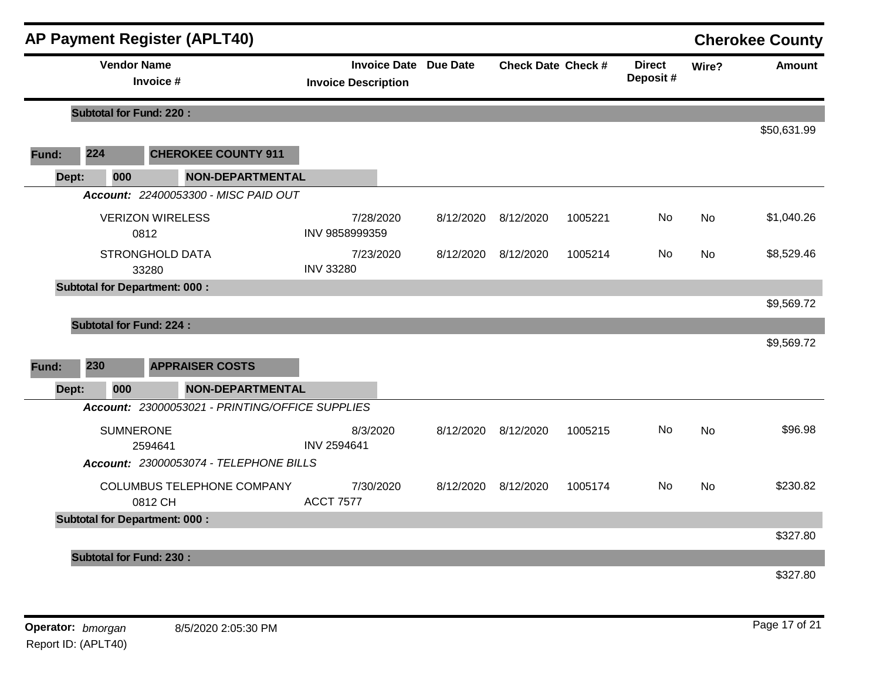|       |                                      |                                 | <b>AP Payment Register (APLT40)</b>             |                            |           |                              |                           |         |                           |           | <b>Cherokee County</b> |
|-------|--------------------------------------|---------------------------------|-------------------------------------------------|----------------------------|-----------|------------------------------|---------------------------|---------|---------------------------|-----------|------------------------|
|       |                                      | <b>Vendor Name</b><br>Invoice # |                                                 | <b>Invoice Description</b> |           | <b>Invoice Date Due Date</b> | <b>Check Date Check #</b> |         | <b>Direct</b><br>Deposit# | Wire?     | <b>Amount</b>          |
|       | <b>Subtotal for Fund: 220:</b>       |                                 |                                                 |                            |           |                              |                           |         |                           |           |                        |
|       |                                      |                                 |                                                 |                            |           |                              |                           |         |                           |           | \$50,631.99            |
| Fund: | 224                                  |                                 | <b>CHEROKEE COUNTY 911</b>                      |                            |           |                              |                           |         |                           |           |                        |
|       | Dept:<br>000                         |                                 | <b>NON-DEPARTMENTAL</b>                         |                            |           |                              |                           |         |                           |           |                        |
|       |                                      |                                 | Account: 22400053300 - MISC PAID OUT            |                            |           |                              |                           |         |                           |           |                        |
|       |                                      | <b>VERIZON WIRELESS</b><br>0812 |                                                 | INV 9858999359             | 7/28/2020 | 8/12/2020                    | 8/12/2020                 | 1005221 | No.                       | No        | \$1,040.26             |
|       |                                      | <b>STRONGHOLD DATA</b><br>33280 |                                                 | <b>INV 33280</b>           | 7/23/2020 | 8/12/2020                    | 8/12/2020                 | 1005214 | No.                       | No        | \$8,529.46             |
|       | <b>Subtotal for Department: 000:</b> |                                 |                                                 |                            |           |                              |                           |         |                           |           |                        |
|       |                                      |                                 |                                                 |                            |           |                              |                           |         |                           |           | \$9,569.72             |
|       | <b>Subtotal for Fund: 224:</b>       |                                 |                                                 |                            |           |                              |                           |         |                           |           |                        |
|       |                                      |                                 |                                                 |                            |           |                              |                           |         |                           |           | \$9,569.72             |
| Fund: | 230                                  |                                 | <b>APPRAISER COSTS</b>                          |                            |           |                              |                           |         |                           |           |                        |
|       | 000<br>Dept:                         |                                 | <b>NON-DEPARTMENTAL</b>                         |                            |           |                              |                           |         |                           |           |                        |
|       |                                      |                                 | Account: 23000053021 - PRINTING/OFFICE SUPPLIES |                            |           |                              |                           |         |                           |           |                        |
|       |                                      | <b>SUMNERONE</b><br>2594641     |                                                 | 8/3/2020<br>INV 2594641    |           | 8/12/2020                    | 8/12/2020                 | 1005215 | No                        | <b>No</b> | \$96.98                |
|       |                                      |                                 | Account: 23000053074 - TELEPHONE BILLS          |                            |           |                              |                           |         |                           |           |                        |
|       |                                      | 0812 CH                         | COLUMBUS TELEPHONE COMPANY                      | <b>ACCT 7577</b>           | 7/30/2020 |                              | 8/12/2020 8/12/2020       | 1005174 | No.                       | <b>No</b> | \$230.82               |
|       | <b>Subtotal for Department: 000:</b> |                                 |                                                 |                            |           |                              |                           |         |                           |           | \$327.80               |
|       | <b>Subtotal for Fund: 230:</b>       |                                 |                                                 |                            |           |                              |                           |         |                           |           | \$327.80               |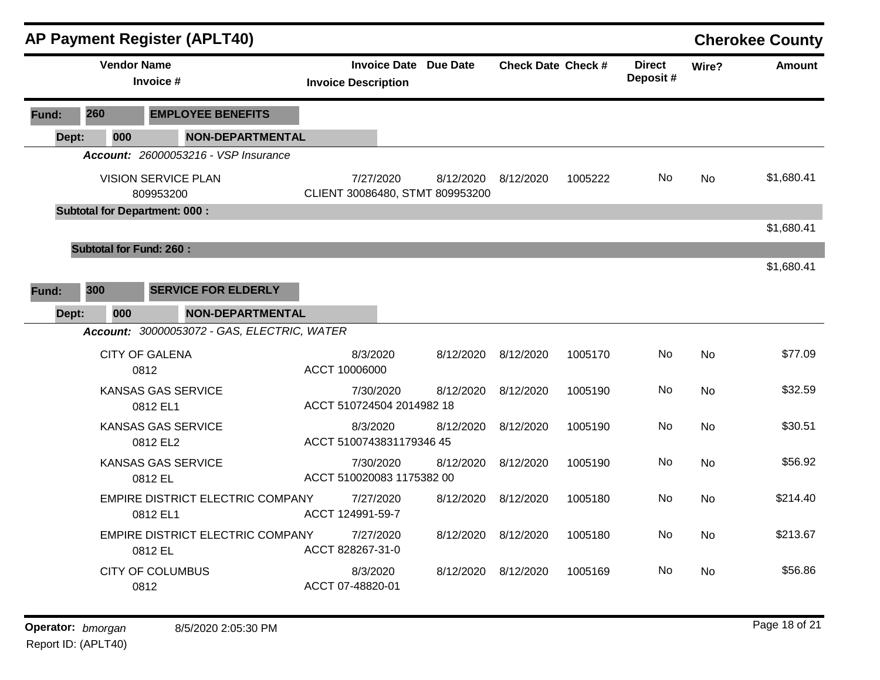|       |       |                                      |           | <b>AP Payment Register (APLT40)</b>         |                                      |           |                       |                           |         |                           |           | <b>Cherokee County</b> |
|-------|-------|--------------------------------------|-----------|---------------------------------------------|--------------------------------------|-----------|-----------------------|---------------------------|---------|---------------------------|-----------|------------------------|
|       |       | <b>Vendor Name</b>                   | Invoice # |                                             | <b>Invoice Description</b>           |           | Invoice Date Due Date | <b>Check Date Check #</b> |         | <b>Direct</b><br>Deposit# | Wire?     | <b>Amount</b>          |
| Fund: | 260   |                                      |           | <b>EMPLOYEE BENEFITS</b>                    |                                      |           |                       |                           |         |                           |           |                        |
|       | Dept: | 000                                  |           | <b>NON-DEPARTMENTAL</b>                     |                                      |           |                       |                           |         |                           |           |                        |
|       |       |                                      |           | <b>Account: 26000053216 - VSP Insurance</b> |                                      |           |                       |                           |         |                           |           |                        |
|       |       | <b>VISION SERVICE PLAN</b>           | 809953200 |                                             | CLIENT 30086480, STMT 809953200      | 7/27/2020 | 8/12/2020             | 8/12/2020                 | 1005222 | No.                       | <b>No</b> | \$1,680.41             |
|       |       | <b>Subtotal for Department: 000:</b> |           |                                             |                                      |           |                       |                           |         |                           |           |                        |
|       |       |                                      |           |                                             |                                      |           |                       |                           |         |                           |           | \$1,680.41             |
|       |       | <b>Subtotal for Fund: 260:</b>       |           |                                             |                                      |           |                       |                           |         |                           |           |                        |
|       |       |                                      |           |                                             |                                      |           |                       |                           |         |                           |           | \$1,680.41             |
| Fund: | 300   |                                      |           | <b>SERVICE FOR ELDERLY</b>                  |                                      |           |                       |                           |         |                           |           |                        |
|       | Dept: | 000                                  |           | <b>NON-DEPARTMENTAL</b>                     |                                      |           |                       |                           |         |                           |           |                        |
|       |       |                                      |           | Account: 30000053072 - GAS, ELECTRIC, WATER |                                      |           |                       |                           |         |                           |           |                        |
|       |       | <b>CITY OF GALENA</b>                | 0812      |                                             | 8/3/2020<br>ACCT 10006000            |           | 8/12/2020             | 8/12/2020                 | 1005170 | No                        | <b>No</b> | \$77.09                |
|       |       | KANSAS GAS SERVICE                   | 0812 EL1  |                                             | ACCT 510724504 2014982 18            | 7/30/2020 | 8/12/2020             | 8/12/2020                 | 1005190 | No                        | <b>No</b> | \$32.59                |
|       |       | KANSAS GAS SERVICE                   | 0812 EL2  |                                             | 8/3/2020<br>ACCT 5100743831179346 45 |           | 8/12/2020             | 8/12/2020                 | 1005190 | No                        | <b>No</b> | \$30.51                |
|       |       | KANSAS GAS SERVICE                   | 0812 EL   |                                             | ACCT 510020083 1175382 00            | 7/30/2020 | 8/12/2020             | 8/12/2020                 | 1005190 | No                        | No        | \$56.92                |
|       |       |                                      | 0812 EL1  | <b>EMPIRE DISTRICT ELECTRIC COMPANY</b>     | ACCT 124991-59-7                     | 7/27/2020 | 8/12/2020             | 8/12/2020                 | 1005180 | No.                       | <b>No</b> | \$214.40               |
|       |       |                                      | 0812 EL   | <b>EMPIRE DISTRICT ELECTRIC COMPANY</b>     | 7/27/2020<br>ACCT 828267-31-0        |           | 8/12/2020             | 8/12/2020                 | 1005180 | No                        | <b>No</b> | \$213.67               |
|       |       | <b>CITY OF COLUMBUS</b>              | 0812      |                                             | 8/3/2020<br>ACCT 07-48820-01         |           | 8/12/2020 8/12/2020   |                           | 1005169 | No                        | No        | \$56.86                |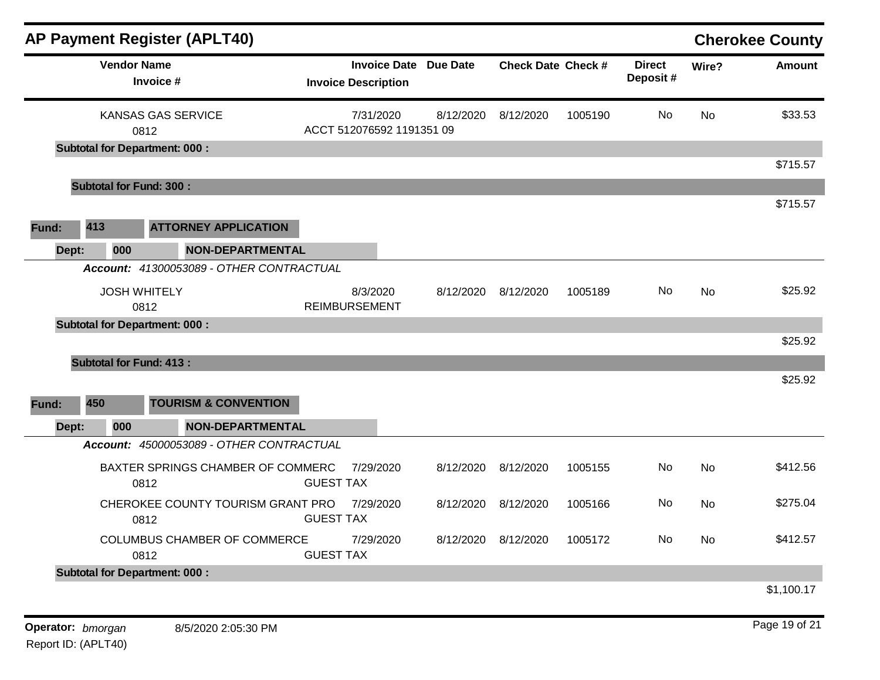| <b>AP Payment Register (APLT40)</b>                                                    |                                                            |           |                           |         |                           |           | <b>Cherokee County</b> |
|----------------------------------------------------------------------------------------|------------------------------------------------------------|-----------|---------------------------|---------|---------------------------|-----------|------------------------|
| <b>Vendor Name</b><br>Invoice #                                                        | <b>Invoice Date Due Date</b><br><b>Invoice Description</b> |           | <b>Check Date Check #</b> |         | <b>Direct</b><br>Deposit# | Wire?     | <b>Amount</b>          |
| KANSAS GAS SERVICE<br>0812                                                             | 7/31/2020<br>ACCT 512076592 1191351 09                     | 8/12/2020 | 8/12/2020                 | 1005190 | No.                       | <b>No</b> | \$33.53                |
| <b>Subtotal for Department: 000:</b>                                                   |                                                            |           |                           |         |                           |           | \$715.57               |
| <b>Subtotal for Fund: 300:</b>                                                         |                                                            |           |                           |         |                           |           |                        |
| 413<br><b>ATTORNEY APPLICATION</b><br>Fund:<br>000<br><b>NON-DEPARTMENTAL</b><br>Dept: |                                                            |           |                           |         |                           |           | \$715.57               |
| Account: 41300053089 - OTHER CONTRACTUAL                                               |                                                            |           |                           |         |                           |           |                        |
| <b>JOSH WHITELY</b><br>0812                                                            | 8/3/2020<br><b>REIMBURSEMENT</b>                           |           | 8/12/2020 8/12/2020       | 1005189 | No.                       | No        | \$25.92                |
| <b>Subtotal for Department: 000:</b>                                                   |                                                            |           |                           |         |                           |           | \$25.92                |
| <b>Subtotal for Fund: 413:</b>                                                         |                                                            |           |                           |         |                           |           |                        |
|                                                                                        |                                                            |           |                           |         |                           |           | \$25.92                |
| 450<br><b>TOURISM &amp; CONVENTION</b><br>Fund:                                        |                                                            |           |                           |         |                           |           |                        |
| 000<br><b>NON-DEPARTMENTAL</b><br>Dept:<br>Account: 45000053089 - OTHER CONTRACTUAL    |                                                            |           |                           |         |                           |           |                        |
| BAXTER SPRINGS CHAMBER OF COMMERC<br>0812                                              | 7/29/2020<br><b>GUEST TAX</b>                              | 8/12/2020 | 8/12/2020                 | 1005155 | No.                       | <b>No</b> | \$412.56               |
| CHEROKEE COUNTY TOURISM GRANT PRO<br>0812                                              | 7/29/2020<br><b>GUEST TAX</b>                              | 8/12/2020 | 8/12/2020                 | 1005166 | No                        | No        | \$275.04               |
| COLUMBUS CHAMBER OF COMMERCE<br>0812                                                   | 7/29/2020<br><b>GUEST TAX</b>                              |           | 8/12/2020 8/12/2020       | 1005172 | No.                       | <b>No</b> | \$412.57               |
| <b>Subtotal for Department: 000:</b>                                                   |                                                            |           |                           |         |                           |           |                        |
|                                                                                        |                                                            |           |                           |         |                           |           | \$1,100.17             |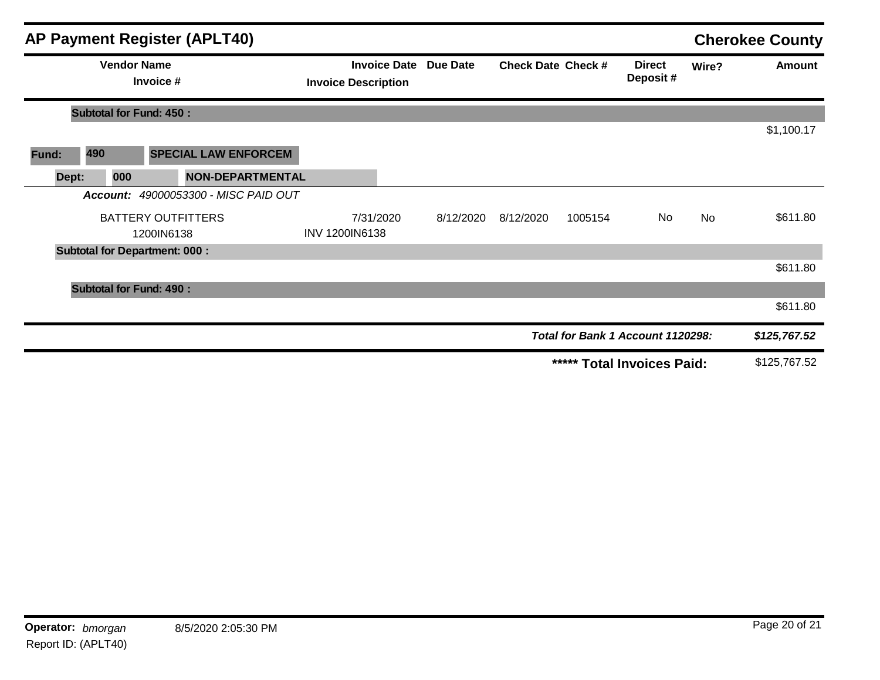|       |                                 | AP Payment Register (APLT40)            |                                                   |           |                           |         |                                   |           | <b>Cherokee County</b> |
|-------|---------------------------------|-----------------------------------------|---------------------------------------------------|-----------|---------------------------|---------|-----------------------------------|-----------|------------------------|
|       | <b>Vendor Name</b><br>Invoice # |                                         | <b>Invoice Date</b><br><b>Invoice Description</b> | Due Date  | <b>Check Date Check #</b> |         | <b>Direct</b><br>Deposit#         | Wire?     | Amount                 |
|       | <b>Subtotal for Fund: 450:</b>  |                                         |                                                   |           |                           |         |                                   |           |                        |
|       |                                 |                                         |                                                   |           |                           |         |                                   |           | \$1,100.17             |
| Fund: | 490                             | <b>SPECIAL LAW ENFORCEM</b>             |                                                   |           |                           |         |                                   |           |                        |
| Dept: | 000                             | <b>NON-DEPARTMENTAL</b>                 |                                                   |           |                           |         |                                   |           |                        |
|       |                                 | Account: 49000053300 - MISC PAID OUT    |                                                   |           |                           |         |                                   |           |                        |
|       |                                 | <b>BATTERY OUTFITTERS</b><br>1200IN6138 | 7/31/2020<br><b>INV 1200IN6138</b>                | 8/12/2020 | 8/12/2020                 | 1005154 | No                                | <b>No</b> | \$611.80               |
|       |                                 | <b>Subtotal for Department: 000:</b>    |                                                   |           |                           |         |                                   |           |                        |
|       |                                 |                                         |                                                   |           |                           |         |                                   |           | \$611.80               |
|       | <b>Subtotal for Fund: 490:</b>  |                                         |                                                   |           |                           |         |                                   |           |                        |
|       |                                 |                                         |                                                   |           |                           |         |                                   |           | \$611.80               |
|       |                                 |                                         |                                                   |           |                           |         | Total for Bank 1 Account 1120298: |           | \$125,767.52           |
|       |                                 |                                         |                                                   |           |                           |         | ***** Total Invoices Paid:        |           | \$125,767.52           |